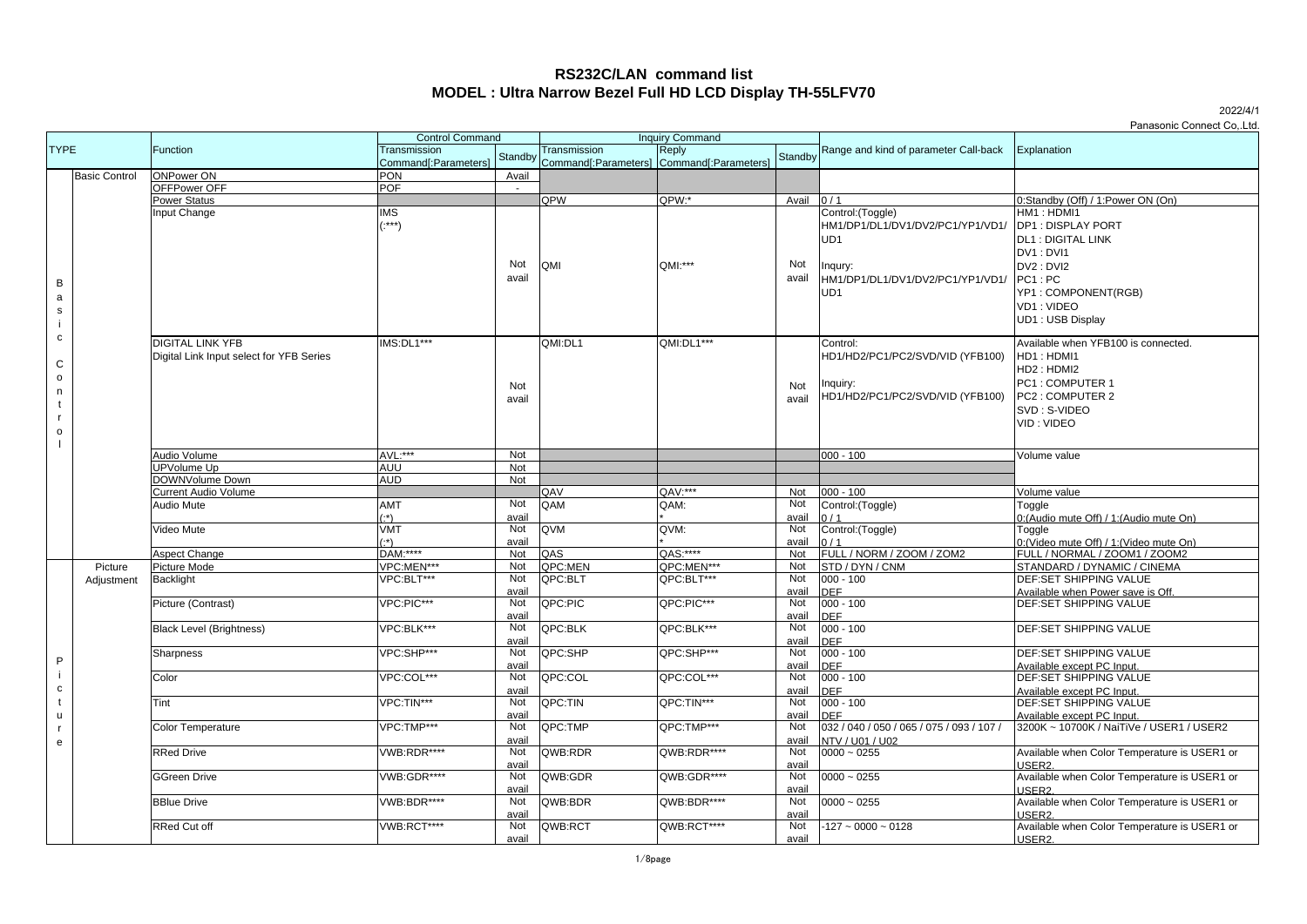# **RS232C/LAN command list MODEL : Ultra Narrow Bezel Full HD LCD Display TH-55LFV70**

|                      |            |                                          |                      |         |                        |                                           |         |                                           | Panasonic Connect CoLtd.                     |
|----------------------|------------|------------------------------------------|----------------------|---------|------------------------|-------------------------------------------|---------|-------------------------------------------|----------------------------------------------|
| <b>TYPE</b>          |            | <b>Control Command</b>                   |                      |         | <b>Inquiry Command</b> |                                           |         |                                           |                                              |
| <b>Basic Control</b> |            | Function                                 | Transmission         |         | Transmission           | Reply                                     |         | Range and kind of parameter Call-back     | Explanation                                  |
|                      |            |                                          | Command[:Parameters] | Standby |                        | Command[:Parameters] Command[:Parameters] | Standby |                                           |                                              |
|                      |            | <b>ONPower ON</b>                        | <b>PON</b>           | Avail   |                        |                                           |         |                                           |                                              |
|                      |            | OFFPower OFF                             | <b>POF</b>           | $\sim$  |                        |                                           |         |                                           |                                              |
|                      |            | <b>Power Status</b>                      |                      |         | QPW                    | QPW:*                                     | Avail   | 0/1                                       | 0:Standby (Off) / 1:Power ON (On)            |
|                      |            | nput Change                              | IMS                  |         |                        |                                           |         | Control: (Toggle)                         | HM1: HDMI1                                   |
|                      |            |                                          | $\cdot$ ***)         |         |                        |                                           |         | HM1/DP1/DL1/DV1/DV2/PC1/YP1/VD1/          | <b>DP1: DISPLAY PORT</b>                     |
|                      |            |                                          |                      |         |                        |                                           |         | UD <sub>1</sub>                           | <b>DL1: DIGITAL LINK</b>                     |
|                      |            |                                          |                      |         |                        |                                           |         |                                           | DV1: DVI1                                    |
|                      |            |                                          |                      | Not     | QMI                    | QMI:***                                   | Not     |                                           | DV2: DVI2                                    |
|                      |            |                                          |                      | avail   |                        |                                           | avail   | Inqury:                                   |                                              |
| B                    |            |                                          |                      |         |                        |                                           |         | HM1/DP1/DL1/DV1/DV2/PC1/YP1/VD1/          | $PC1$ : $PC$                                 |
| a                    |            |                                          |                      |         |                        |                                           |         | UD <sub>1</sub>                           | YP1: COMPONENT(RGB)                          |
| ${\tt S}$            |            |                                          |                      |         |                        |                                           |         |                                           | VD1: VIDEO                                   |
| j.                   |            |                                          |                      |         |                        |                                           |         |                                           | UD1: USB Display                             |
| $\mathtt{c}$         |            |                                          |                      |         |                        |                                           |         |                                           |                                              |
|                      |            | <b>DIGITAL LINK YFB</b>                  | IMS:DL1***           |         | QMI:DL1                | QMI:DL1***                                |         | Control:                                  | Available when YFB100 is connected.          |
| $\mathbf C$          |            | Digital Link Input select for YFB Series |                      |         |                        |                                           |         | HD1/HD2/PC1/PC2/SVD/VID (YFB100)          | HD1: HDMI1                                   |
|                      |            |                                          |                      |         |                        |                                           |         |                                           | HD2: HDMI2                                   |
| $\mathsf{o}\,$       |            |                                          |                      | Not     |                        |                                           | Not     | Inquiry:                                  | PC1: COMPUTER 1                              |
| n                    |            |                                          |                      | avail   |                        |                                           | avail   | HD1/HD2/PC1/PC2/SVD/VID (YFB100)          | PC2: COMPUTER 2                              |
| $\mathsf{t}$         |            |                                          |                      |         |                        |                                           |         |                                           | SVD: S-VIDEO                                 |
| $\mathbf{r}$         |            |                                          |                      |         |                        |                                           |         |                                           | VID: VIDEO                                   |
| $\mathsf{o}\,$       |            |                                          |                      |         |                        |                                           |         |                                           |                                              |
|                      |            |                                          |                      |         |                        |                                           |         |                                           |                                              |
|                      |            | Audio Volume                             | AVL:***              | Not     |                        |                                           |         | $000 - 100$                               | Volume value                                 |
|                      |            | <b>JPVolume Up</b>                       | AUU                  | Not     |                        |                                           |         |                                           |                                              |
|                      |            | DOWNVolume Down                          | <b>AUD</b>           | Not     |                        |                                           |         |                                           |                                              |
|                      |            | <b>Current Audio Volume</b>              |                      |         | QAV                    | QAV:***                                   | Not     | $000 - 100$                               | Volume value                                 |
|                      |            | Audio Mute                               | AMT                  | Not     | QAM                    | QAM:                                      | Not     | Control: (Toggle)                         | Toggle                                       |
|                      |            |                                          | ۰*۱                  | avail   |                        |                                           | avail   |                                           | 0:(Audio mute Off) / 1:(Audio mute On)       |
|                      |            | Video Mute                               | VMT                  | Not     | QVM                    | QVM:                                      | Not     | Control: (Toggle)                         | Toggle                                       |
|                      |            |                                          | ۰*۱                  | avail   |                        |                                           | avail   | 0/1                                       | 0:(Video mute Off) / 1:(Video mute On)       |
|                      |            | Aspect Change                            | DAM:****             | Not     | QAS                    | QAS:****                                  | Not     | FULL / NORM / ZOOM / ZOM2                 | FULL / NORMAL / ZOOM1 / ZOOM2                |
|                      | Picture    | Picture Mode                             | VPC:MEN***           | Not     | QPC:MEN                | QPC:MEN***                                | Not     | STD / DYN / CNM                           | STANDARD / DYNAMIC / CINEMA                  |
|                      | Adjustment | Backlight                                | VPC:BLT***           | Not     | QPC:BLT                | QPC:BLT***                                | Not     | $000 - 100$                               | <b>DEF:SET SHIPPING VALUE</b>                |
|                      |            |                                          |                      | avail   |                        |                                           | avail   | <b>DEF</b>                                | Available when Power save is Off.            |
|                      |            | Picture (Contrast)                       | VPC:PIC***           | Not     | QPC:PIC                | QPC:PIC***                                | Not     | $000 - 100$                               | <b>DEF:SET SHIPPING VALUE</b>                |
|                      |            |                                          |                      | avail   |                        |                                           | avail   | <b>DEF</b>                                |                                              |
|                      |            | <b>Black Level (Brightness)</b>          | VPC:BLK***           | Not     | QPC:BLK                | QPC:BLK***                                | Not     | $000 - 100$                               | <b>DEF:SET SHIPPING VALUE</b>                |
|                      |            |                                          |                      | avail   |                        |                                           | avail   | DEF                                       |                                              |
| P                    |            | Sharpness                                | VPC:SHP***           | Not     | QPC:SHP                | QPC:SHP***                                | Not     | $000 - 100$                               | <b>DEF:SET SHIPPING VALUE</b>                |
|                      |            |                                          |                      | avail   |                        |                                           | avail   | <b>DEF</b>                                | Available except PC Input.                   |
| Ť                    |            | Color                                    | VPC:COL***           | Not     | QPC:COL                | QPC:COL***                                | Not     | $000 - 100$                               | DEF:SET SHIPPING VALUE                       |
| $\mathtt{C}$         |            |                                          |                      | avail   |                        |                                           | avail   | <b>DEF</b>                                | Available except PC Input.                   |
| $\mathsf{t}$         |            | Tint                                     | VPC:TIN***           | Not     | QPC:TIN                | QPC:TIN***                                | Not     | $000 - 100$                               | <b>DEF:SET SHIPPING VALUE</b>                |
| u                    |            |                                          |                      | avail   |                        |                                           | avail   | <b>DEF</b>                                | Available except PC Input.                   |
| $\mathsf{r}$         |            | <b>Color Temperature</b>                 | VPC:TMP***           | Not     | QPC:TMP                | QPC:TMP***                                | Not     | 032 / 040 / 050 / 065 / 075 / 093 / 107 / | 3200K ~ 10700K / NaiTiVe / USER1 / USER2     |
| e                    |            |                                          |                      | avail   |                        |                                           | avail   | NTV / U01 / U02                           |                                              |
|                      |            | <b>RRed Drive</b>                        | <b>VWB:RDR****</b>   | Not     | QWB:RDR                | QWB:RDR****                               | Not     | $0000 - 0255$                             | Available when Color Temperature is USER1 or |
|                      |            |                                          |                      | avail   |                        |                                           | avail   |                                           | USER <sub>2</sub>                            |
|                      |            | <b>GGreen Drive</b>                      | VWB:GDR****          | Not     | QWB:GDR                | QWB:GDR****                               | Not     | $0000 - 0255$                             | Available when Color Temperature is USER1 or |
|                      |            |                                          |                      | avail   |                        |                                           | avail   |                                           | USER <sub>2</sub>                            |
|                      |            | <b>BBlue Drive</b>                       | VWB:BDR****          | Not     | QWB:BDR                | QWB:BDR****                               | Not     | $0000 - 0255$                             | Available when Color Temperature is USER1 or |
|                      |            |                                          |                      | avail   |                        |                                           | avail   |                                           | USER2                                        |
|                      |            | <b>RRed Cut off</b>                      | VWB:RCT****          | Not     | QWB:RCT                | QWB:RCT****                               | Not     | $-127 - 0000 - 0128$                      | Available when Color Temperature is USER1 or |
|                      |            |                                          |                      | avail   |                        |                                           | avail   |                                           | <b>IISER2</b>                                |

2022/4/1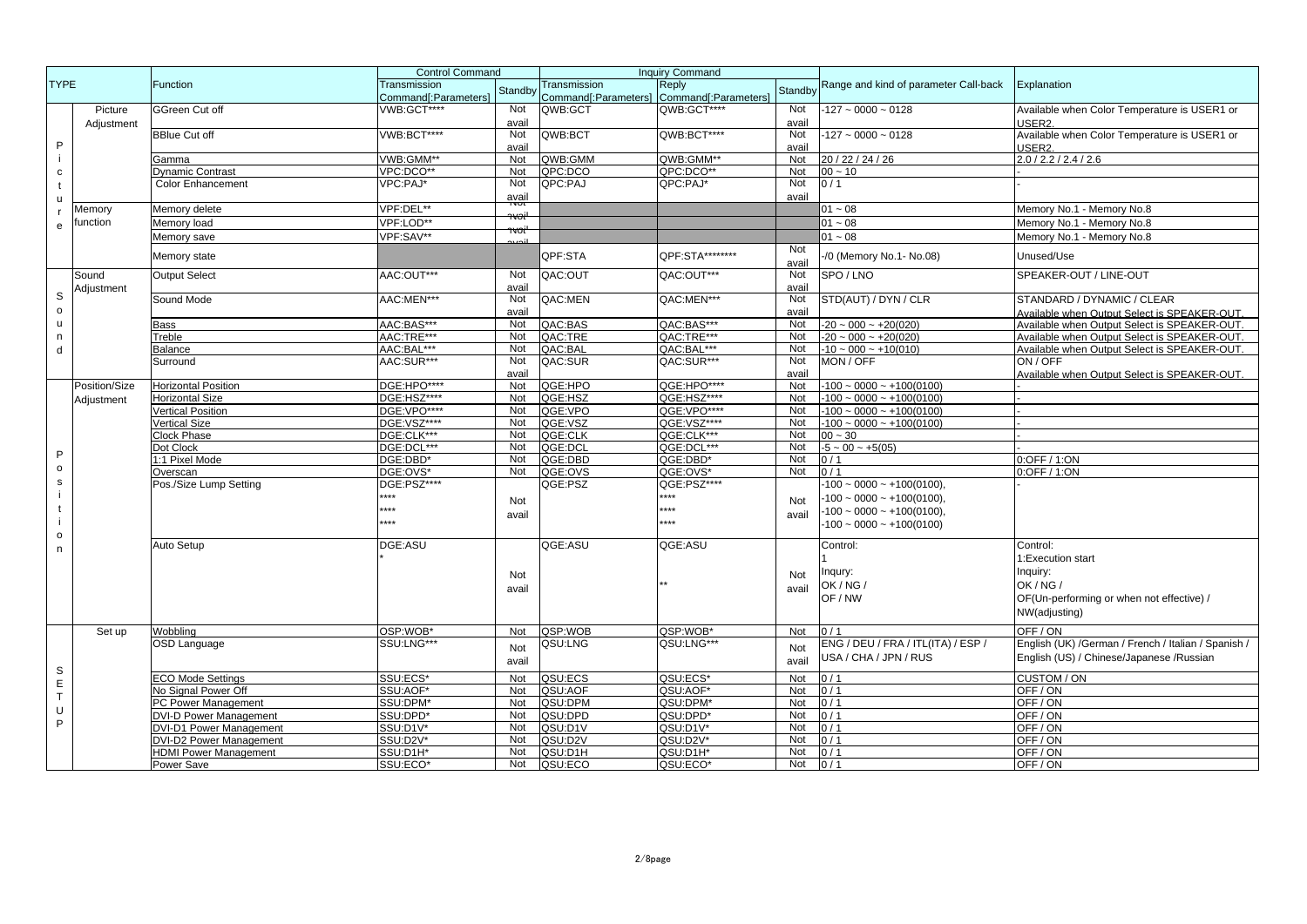| <b>TYPE</b><br>Reply<br>Function<br>Transmission<br>Range and kind of parameter Call-back<br>Explanation<br>Transmission<br>Standby<br>Standby<br>Command[:Parameters]<br>Command[:Parameters]<br>Command[:Parameters]<br>VWB:GCT****<br>QWB:GCT****<br>Not<br>Picture<br>Not<br>QWB:GCT<br>$-127 - 0000 - 0128$<br>Available when Color Temperature is USER1 or<br>GGreen Cut off<br>USER <sub>2</sub><br>avail<br>avail<br>Adjustment<br>VWB:BCT****<br>Not<br>QWB:BCT****<br>Not<br><b>BBlue Cut off</b><br>QWB:BCT<br>$-127 - 0000 - 0128$<br>Available when Color Temperature is USER1 or<br>P<br>avail<br>avail<br>USER <sub>2</sub><br>20 / 22 / 24 / 26<br>2.0 / 2.2 / 2.4 / 2.6<br>VWB:GMM**<br>Not<br>QWB:GMM<br>QWB:GMM**<br>Not<br>Gamma<br>Dynamic Contrast<br>VPC:DCO**<br>Not<br>QPC:DCO<br>QPC:DCO**<br>Not<br>$00 - 10$<br>C<br>Not<br>QPC:PAJ*<br>Not<br><b>Color Enhancement</b><br>VPC:PAJ*<br>QPC:PAJ<br>0/1<br>avail<br>avail<br>ū<br>זשעו<br>VPF:DEL**<br>$01 - 08$<br>Memory No.1 - Memory No.8<br>Memory delete<br>Memory<br>voi<br>VPF:LOD**<br>$01 - 08$<br>function<br>Memory No.1 - Memory No.8<br>Memory load<br>e<br>VPF:SAV**<br>$01 - 08$<br>Memory No.1 - Memory No.8<br>Memory save<br>Not<br>QPF:STA********<br>QPF:STA<br>/0 (Memory No.1- No.08)<br>Memory state<br>Unused/Use<br>avail<br>AAC:OUT***<br>Not<br>QAC:OUT<br>SPEAKER-OUT / LINE-OUT<br><b>Output Select</b><br>QAC:OUT***<br>Not<br>SPO / LNO<br>Sound<br>avail<br>avail<br>Adjustment<br>S<br>Sound Mode<br>AAC:MEN***<br>QAC:MEN<br>QAC:MEN***<br>STD(AUT) / DYN / CLR<br>STANDARD / DYNAMIC / CLEAR<br>Not<br>Not<br>o<br>Available when Output Select is SPEAKER-OUT.<br>avail<br>avail<br>AAC:BAS***<br>QAC:BAS<br>QAC:BAS***<br>$-20 \sim 000 \sim +20(020)$<br>Not<br>Not<br>Available when Output Select is SPEAKER-OUT.<br>ū<br>Bass<br>AAC:TRE***<br>Not<br>QAC:TRE<br>QAC:TRE***<br>Not<br>$-20 \sim 000 \sim +20(020)$<br>Available when Output Select is SPEAKER-OUT<br>Treble<br>n<br>AAC:BAL***<br>QAC:BAL<br>Available when Output Select is SPEAKER-OUT<br>Not<br>QAC:BAL***<br>Not<br>$-10 \sim 000 \sim +10(010)$<br>Balance<br>d<br>AAC:SUR***<br>Not<br>QAC:SUR<br>QAC:SUR***<br>Not<br>MON / OFF<br>ON / OFF<br>Surround<br>avail<br>avail<br>Available when Output Select is SPEAKER-OUT<br>DGE:HPO****<br>QGE:HPO<br>QGE:HPO****<br>$-100 \sim 0000 \sim +100(0100)$<br><b>Horizontal Position</b><br>Not<br>Not<br>Position/Size<br>DGE:HSZ****<br>Not<br>QGE:HSZ<br>QGE:HSZ****<br>Not<br>$-100 \sim 0000 \sim +100(0100)$<br><b>Horizontal Size</b><br>Adjustment<br><b>Vertical Position</b><br>DGE: VPO****<br>QGE:VPO<br>QGE:VPO****<br>Not<br>$-100 \sim 0000 \sim +100(0100)$<br>Not<br><b>Vertical Size</b><br>DGE:VSZ****<br>QGE:VSZ<br>QGE:VSZ****<br>$-100 \sim 0000 \sim +100(0100)$<br>Not<br>Not<br>DGE:CLK***<br>QGE:CLK<br>QGE:CLK***<br>Clock Phase<br>Not<br>Not<br>$00 - 30$<br>Dot Clock<br>DGE:DCL***<br>QGE:DCL***<br>Not<br>QGE:DCL<br>Not<br>$-5 \sim 00 \sim +5(05)$<br>Þ<br>1:1 Pixel Mode<br>DGE:DBD*<br>QGE:DBD<br>QGE:DBD*<br>0/1<br>0:OFF / 1:ON<br>Not<br>Not<br>o<br>DGE:OVS*<br>Not<br>QGE:OVS<br>QGE:OVS*<br>0:OFF / 1:ON<br>Overscan<br>Not<br>0/1<br>s<br>DGE:PSZ****<br>QGE:PSZ<br>QGE:PSZ****<br>$100 \sim 0000 \sim +100(0100)$ ,<br>Pos./Size Lump Setting<br>****<br>****<br>$-100 \sim 0000 \sim +100(0100)$ ,<br>Not<br>Not<br>****<br>$***$<br>$-100 \sim 0000 \sim +100(0100)$ ,<br>avail<br>avail<br>***<br>***<br>$-100 \sim 0000 \sim +100(0100)$<br>o<br>DGE:ASU<br>QGE:ASU<br>QGE:ASU<br><b>Auto Setup</b><br>Control:<br>Control:<br>n<br>1:Execution start<br>Inquiry:<br>Inqury:<br>Not<br>Not<br>OK / NG /<br>OK/NG/<br>avail<br>avail<br>OF / NW<br>OF(Un-performing or when not effective) /<br>NW(adjusting)<br>OSP:WOB*<br>QSP:WOB<br>QSP:WOB*<br>OFF / ON<br>Wobbling<br>Not<br>Not<br>Set up<br>0/1<br>SSU:LNG***<br>QSU:LNG<br>QSU:LNG***<br>OSD Language<br>ENG / DEU / FRA / ITL(ITA) / ESP /<br>English (UK) /German / French / Italian / Spanish /<br>Not<br>Not<br>USA / CHA / JPN / RUS<br>English (US) / Chinese/Japanese /Russian<br>avail<br>avail<br>S<br>SSU:ECS*<br>QSU:ECS<br>QSU:ECS*<br>CUSTOM / ON<br><b>ECO Mode Settings</b><br>Not<br>Not<br>0/1<br>E<br>No Signal Power Off<br>SSU:AOF*<br>Not<br>QSU:AOF<br>QSU:AOF*<br>OFF/ON<br>Not<br>0/1<br>T<br>OFF/ON<br>PC Power Management<br>SSU:DPM*<br>Not<br>QSU:DPM<br>QSU:DPM*<br>Not<br>0/1<br>U<br><b>DVI-D Power Management</b><br>SSU:DPD*<br>Not<br>QSU:DPD<br>QSU:DPD*<br>Not<br>OFF/ON<br>0/1<br>P<br><b>DVI-D1 Power Management</b><br>QSU:D1V<br>OFF / ON<br>SSU:D1V*<br>Not<br>QSU:D1V*<br>Not<br>0/1<br>DVI-D2 Power Management<br>SSU:D2V*<br>QSU:D2V<br>QSU:D2V*<br>Not<br>0/1<br>OFF/ON<br>Not<br><b>HDMI Power Management</b><br>Not<br>QSU:D1H<br>QSU:D1H*<br>Not<br>OFF / ON<br>SSU:D1H*<br>0/1<br>0/1<br>Power Save<br>SSU:ECO*<br>Not<br>QSU:ECO<br>QSU:ECO*<br>Not<br>OFF/ON |  |  | <b>Control Command</b> |  | <b>Inquiry Command</b> |  |  |  |
|---------------------------------------------------------------------------------------------------------------------------------------------------------------------------------------------------------------------------------------------------------------------------------------------------------------------------------------------------------------------------------------------------------------------------------------------------------------------------------------------------------------------------------------------------------------------------------------------------------------------------------------------------------------------------------------------------------------------------------------------------------------------------------------------------------------------------------------------------------------------------------------------------------------------------------------------------------------------------------------------------------------------------------------------------------------------------------------------------------------------------------------------------------------------------------------------------------------------------------------------------------------------------------------------------------------------------------------------------------------------------------------------------------------------------------------------------------------------------------------------------------------------------------------------------------------------------------------------------------------------------------------------------------------------------------------------------------------------------------------------------------------------------------------------------------------------------------------------------------------------------------------------------------------------------------------------------------------------------------------------------------------------------------------------------------------------------------------------------------------------------------------------------------------------------------------------------------------------------------------------------------------------------------------------------------------------------------------------------------------------------------------------------------------------------------------------------------------------------------------------------------------------------------------------------------------------------------------------------------------------------------------------------------------------------------------------------------------------------------------------------------------------------------------------------------------------------------------------------------------------------------------------------------------------------------------------------------------------------------------------------------------------------------------------------------------------------------------------------------------------------------------------------------------------------------------------------------------------------------------------------------------------------------------------------------------------------------------------------------------------------------------------------------------------------------------------------------------------------------------------------------------------------------------------------------------------------------------------------------------------------------------------------------------------------------------------------------------------------------------------------------------------------------------------------------------------------------------------------------------------------------------------------------------------------------------------------------------------------------------------------------------------------------------------------------------------------------------------------------------------------------------------------------------------------------------------------------------------------------------------------------------------------------------------------------------------------------------------------------------------------------------------------------------------------------------------------------------------------------------------------------------------------------------------------------------------------------------------------------------------------------------------------------------------------------------------------------------------------------------------------------------------------------------------------------------------------------------------------------------------------------------------------------------------------------------------------------------|--|--|------------------------|--|------------------------|--|--|--|
|                                                                                                                                                                                                                                                                                                                                                                                                                                                                                                                                                                                                                                                                                                                                                                                                                                                                                                                                                                                                                                                                                                                                                                                                                                                                                                                                                                                                                                                                                                                                                                                                                                                                                                                                                                                                                                                                                                                                                                                                                                                                                                                                                                                                                                                                                                                                                                                                                                                                                                                                                                                                                                                                                                                                                                                                                                                                                                                                                                                                                                                                                                                                                                                                                                                                                                                                                                                                                                                                                                                                                                                                                                                                                                                                                                                                                                                                                                                                                                                                                                                                                                                                                                                                                                                                                                                                                                                                                                                                                                                                                                                                                                                                                                                                                                                                                                                                                                                                                               |  |  |                        |  |                        |  |  |  |
|                                                                                                                                                                                                                                                                                                                                                                                                                                                                                                                                                                                                                                                                                                                                                                                                                                                                                                                                                                                                                                                                                                                                                                                                                                                                                                                                                                                                                                                                                                                                                                                                                                                                                                                                                                                                                                                                                                                                                                                                                                                                                                                                                                                                                                                                                                                                                                                                                                                                                                                                                                                                                                                                                                                                                                                                                                                                                                                                                                                                                                                                                                                                                                                                                                                                                                                                                                                                                                                                                                                                                                                                                                                                                                                                                                                                                                                                                                                                                                                                                                                                                                                                                                                                                                                                                                                                                                                                                                                                                                                                                                                                                                                                                                                                                                                                                                                                                                                                                               |  |  |                        |  |                        |  |  |  |
|                                                                                                                                                                                                                                                                                                                                                                                                                                                                                                                                                                                                                                                                                                                                                                                                                                                                                                                                                                                                                                                                                                                                                                                                                                                                                                                                                                                                                                                                                                                                                                                                                                                                                                                                                                                                                                                                                                                                                                                                                                                                                                                                                                                                                                                                                                                                                                                                                                                                                                                                                                                                                                                                                                                                                                                                                                                                                                                                                                                                                                                                                                                                                                                                                                                                                                                                                                                                                                                                                                                                                                                                                                                                                                                                                                                                                                                                                                                                                                                                                                                                                                                                                                                                                                                                                                                                                                                                                                                                                                                                                                                                                                                                                                                                                                                                                                                                                                                                                               |  |  |                        |  |                        |  |  |  |
|                                                                                                                                                                                                                                                                                                                                                                                                                                                                                                                                                                                                                                                                                                                                                                                                                                                                                                                                                                                                                                                                                                                                                                                                                                                                                                                                                                                                                                                                                                                                                                                                                                                                                                                                                                                                                                                                                                                                                                                                                                                                                                                                                                                                                                                                                                                                                                                                                                                                                                                                                                                                                                                                                                                                                                                                                                                                                                                                                                                                                                                                                                                                                                                                                                                                                                                                                                                                                                                                                                                                                                                                                                                                                                                                                                                                                                                                                                                                                                                                                                                                                                                                                                                                                                                                                                                                                                                                                                                                                                                                                                                                                                                                                                                                                                                                                                                                                                                                                               |  |  |                        |  |                        |  |  |  |
|                                                                                                                                                                                                                                                                                                                                                                                                                                                                                                                                                                                                                                                                                                                                                                                                                                                                                                                                                                                                                                                                                                                                                                                                                                                                                                                                                                                                                                                                                                                                                                                                                                                                                                                                                                                                                                                                                                                                                                                                                                                                                                                                                                                                                                                                                                                                                                                                                                                                                                                                                                                                                                                                                                                                                                                                                                                                                                                                                                                                                                                                                                                                                                                                                                                                                                                                                                                                                                                                                                                                                                                                                                                                                                                                                                                                                                                                                                                                                                                                                                                                                                                                                                                                                                                                                                                                                                                                                                                                                                                                                                                                                                                                                                                                                                                                                                                                                                                                                               |  |  |                        |  |                        |  |  |  |
|                                                                                                                                                                                                                                                                                                                                                                                                                                                                                                                                                                                                                                                                                                                                                                                                                                                                                                                                                                                                                                                                                                                                                                                                                                                                                                                                                                                                                                                                                                                                                                                                                                                                                                                                                                                                                                                                                                                                                                                                                                                                                                                                                                                                                                                                                                                                                                                                                                                                                                                                                                                                                                                                                                                                                                                                                                                                                                                                                                                                                                                                                                                                                                                                                                                                                                                                                                                                                                                                                                                                                                                                                                                                                                                                                                                                                                                                                                                                                                                                                                                                                                                                                                                                                                                                                                                                                                                                                                                                                                                                                                                                                                                                                                                                                                                                                                                                                                                                                               |  |  |                        |  |                        |  |  |  |
|                                                                                                                                                                                                                                                                                                                                                                                                                                                                                                                                                                                                                                                                                                                                                                                                                                                                                                                                                                                                                                                                                                                                                                                                                                                                                                                                                                                                                                                                                                                                                                                                                                                                                                                                                                                                                                                                                                                                                                                                                                                                                                                                                                                                                                                                                                                                                                                                                                                                                                                                                                                                                                                                                                                                                                                                                                                                                                                                                                                                                                                                                                                                                                                                                                                                                                                                                                                                                                                                                                                                                                                                                                                                                                                                                                                                                                                                                                                                                                                                                                                                                                                                                                                                                                                                                                                                                                                                                                                                                                                                                                                                                                                                                                                                                                                                                                                                                                                                                               |  |  |                        |  |                        |  |  |  |
|                                                                                                                                                                                                                                                                                                                                                                                                                                                                                                                                                                                                                                                                                                                                                                                                                                                                                                                                                                                                                                                                                                                                                                                                                                                                                                                                                                                                                                                                                                                                                                                                                                                                                                                                                                                                                                                                                                                                                                                                                                                                                                                                                                                                                                                                                                                                                                                                                                                                                                                                                                                                                                                                                                                                                                                                                                                                                                                                                                                                                                                                                                                                                                                                                                                                                                                                                                                                                                                                                                                                                                                                                                                                                                                                                                                                                                                                                                                                                                                                                                                                                                                                                                                                                                                                                                                                                                                                                                                                                                                                                                                                                                                                                                                                                                                                                                                                                                                                                               |  |  |                        |  |                        |  |  |  |
|                                                                                                                                                                                                                                                                                                                                                                                                                                                                                                                                                                                                                                                                                                                                                                                                                                                                                                                                                                                                                                                                                                                                                                                                                                                                                                                                                                                                                                                                                                                                                                                                                                                                                                                                                                                                                                                                                                                                                                                                                                                                                                                                                                                                                                                                                                                                                                                                                                                                                                                                                                                                                                                                                                                                                                                                                                                                                                                                                                                                                                                                                                                                                                                                                                                                                                                                                                                                                                                                                                                                                                                                                                                                                                                                                                                                                                                                                                                                                                                                                                                                                                                                                                                                                                                                                                                                                                                                                                                                                                                                                                                                                                                                                                                                                                                                                                                                                                                                                               |  |  |                        |  |                        |  |  |  |
|                                                                                                                                                                                                                                                                                                                                                                                                                                                                                                                                                                                                                                                                                                                                                                                                                                                                                                                                                                                                                                                                                                                                                                                                                                                                                                                                                                                                                                                                                                                                                                                                                                                                                                                                                                                                                                                                                                                                                                                                                                                                                                                                                                                                                                                                                                                                                                                                                                                                                                                                                                                                                                                                                                                                                                                                                                                                                                                                                                                                                                                                                                                                                                                                                                                                                                                                                                                                                                                                                                                                                                                                                                                                                                                                                                                                                                                                                                                                                                                                                                                                                                                                                                                                                                                                                                                                                                                                                                                                                                                                                                                                                                                                                                                                                                                                                                                                                                                                                               |  |  |                        |  |                        |  |  |  |
|                                                                                                                                                                                                                                                                                                                                                                                                                                                                                                                                                                                                                                                                                                                                                                                                                                                                                                                                                                                                                                                                                                                                                                                                                                                                                                                                                                                                                                                                                                                                                                                                                                                                                                                                                                                                                                                                                                                                                                                                                                                                                                                                                                                                                                                                                                                                                                                                                                                                                                                                                                                                                                                                                                                                                                                                                                                                                                                                                                                                                                                                                                                                                                                                                                                                                                                                                                                                                                                                                                                                                                                                                                                                                                                                                                                                                                                                                                                                                                                                                                                                                                                                                                                                                                                                                                                                                                                                                                                                                                                                                                                                                                                                                                                                                                                                                                                                                                                                                               |  |  |                        |  |                        |  |  |  |
|                                                                                                                                                                                                                                                                                                                                                                                                                                                                                                                                                                                                                                                                                                                                                                                                                                                                                                                                                                                                                                                                                                                                                                                                                                                                                                                                                                                                                                                                                                                                                                                                                                                                                                                                                                                                                                                                                                                                                                                                                                                                                                                                                                                                                                                                                                                                                                                                                                                                                                                                                                                                                                                                                                                                                                                                                                                                                                                                                                                                                                                                                                                                                                                                                                                                                                                                                                                                                                                                                                                                                                                                                                                                                                                                                                                                                                                                                                                                                                                                                                                                                                                                                                                                                                                                                                                                                                                                                                                                                                                                                                                                                                                                                                                                                                                                                                                                                                                                                               |  |  |                        |  |                        |  |  |  |
|                                                                                                                                                                                                                                                                                                                                                                                                                                                                                                                                                                                                                                                                                                                                                                                                                                                                                                                                                                                                                                                                                                                                                                                                                                                                                                                                                                                                                                                                                                                                                                                                                                                                                                                                                                                                                                                                                                                                                                                                                                                                                                                                                                                                                                                                                                                                                                                                                                                                                                                                                                                                                                                                                                                                                                                                                                                                                                                                                                                                                                                                                                                                                                                                                                                                                                                                                                                                                                                                                                                                                                                                                                                                                                                                                                                                                                                                                                                                                                                                                                                                                                                                                                                                                                                                                                                                                                                                                                                                                                                                                                                                                                                                                                                                                                                                                                                                                                                                                               |  |  |                        |  |                        |  |  |  |
|                                                                                                                                                                                                                                                                                                                                                                                                                                                                                                                                                                                                                                                                                                                                                                                                                                                                                                                                                                                                                                                                                                                                                                                                                                                                                                                                                                                                                                                                                                                                                                                                                                                                                                                                                                                                                                                                                                                                                                                                                                                                                                                                                                                                                                                                                                                                                                                                                                                                                                                                                                                                                                                                                                                                                                                                                                                                                                                                                                                                                                                                                                                                                                                                                                                                                                                                                                                                                                                                                                                                                                                                                                                                                                                                                                                                                                                                                                                                                                                                                                                                                                                                                                                                                                                                                                                                                                                                                                                                                                                                                                                                                                                                                                                                                                                                                                                                                                                                                               |  |  |                        |  |                        |  |  |  |
|                                                                                                                                                                                                                                                                                                                                                                                                                                                                                                                                                                                                                                                                                                                                                                                                                                                                                                                                                                                                                                                                                                                                                                                                                                                                                                                                                                                                                                                                                                                                                                                                                                                                                                                                                                                                                                                                                                                                                                                                                                                                                                                                                                                                                                                                                                                                                                                                                                                                                                                                                                                                                                                                                                                                                                                                                                                                                                                                                                                                                                                                                                                                                                                                                                                                                                                                                                                                                                                                                                                                                                                                                                                                                                                                                                                                                                                                                                                                                                                                                                                                                                                                                                                                                                                                                                                                                                                                                                                                                                                                                                                                                                                                                                                                                                                                                                                                                                                                                               |  |  |                        |  |                        |  |  |  |
|                                                                                                                                                                                                                                                                                                                                                                                                                                                                                                                                                                                                                                                                                                                                                                                                                                                                                                                                                                                                                                                                                                                                                                                                                                                                                                                                                                                                                                                                                                                                                                                                                                                                                                                                                                                                                                                                                                                                                                                                                                                                                                                                                                                                                                                                                                                                                                                                                                                                                                                                                                                                                                                                                                                                                                                                                                                                                                                                                                                                                                                                                                                                                                                                                                                                                                                                                                                                                                                                                                                                                                                                                                                                                                                                                                                                                                                                                                                                                                                                                                                                                                                                                                                                                                                                                                                                                                                                                                                                                                                                                                                                                                                                                                                                                                                                                                                                                                                                                               |  |  |                        |  |                        |  |  |  |
|                                                                                                                                                                                                                                                                                                                                                                                                                                                                                                                                                                                                                                                                                                                                                                                                                                                                                                                                                                                                                                                                                                                                                                                                                                                                                                                                                                                                                                                                                                                                                                                                                                                                                                                                                                                                                                                                                                                                                                                                                                                                                                                                                                                                                                                                                                                                                                                                                                                                                                                                                                                                                                                                                                                                                                                                                                                                                                                                                                                                                                                                                                                                                                                                                                                                                                                                                                                                                                                                                                                                                                                                                                                                                                                                                                                                                                                                                                                                                                                                                                                                                                                                                                                                                                                                                                                                                                                                                                                                                                                                                                                                                                                                                                                                                                                                                                                                                                                                                               |  |  |                        |  |                        |  |  |  |
|                                                                                                                                                                                                                                                                                                                                                                                                                                                                                                                                                                                                                                                                                                                                                                                                                                                                                                                                                                                                                                                                                                                                                                                                                                                                                                                                                                                                                                                                                                                                                                                                                                                                                                                                                                                                                                                                                                                                                                                                                                                                                                                                                                                                                                                                                                                                                                                                                                                                                                                                                                                                                                                                                                                                                                                                                                                                                                                                                                                                                                                                                                                                                                                                                                                                                                                                                                                                                                                                                                                                                                                                                                                                                                                                                                                                                                                                                                                                                                                                                                                                                                                                                                                                                                                                                                                                                                                                                                                                                                                                                                                                                                                                                                                                                                                                                                                                                                                                                               |  |  |                        |  |                        |  |  |  |
|                                                                                                                                                                                                                                                                                                                                                                                                                                                                                                                                                                                                                                                                                                                                                                                                                                                                                                                                                                                                                                                                                                                                                                                                                                                                                                                                                                                                                                                                                                                                                                                                                                                                                                                                                                                                                                                                                                                                                                                                                                                                                                                                                                                                                                                                                                                                                                                                                                                                                                                                                                                                                                                                                                                                                                                                                                                                                                                                                                                                                                                                                                                                                                                                                                                                                                                                                                                                                                                                                                                                                                                                                                                                                                                                                                                                                                                                                                                                                                                                                                                                                                                                                                                                                                                                                                                                                                                                                                                                                                                                                                                                                                                                                                                                                                                                                                                                                                                                                               |  |  |                        |  |                        |  |  |  |
|                                                                                                                                                                                                                                                                                                                                                                                                                                                                                                                                                                                                                                                                                                                                                                                                                                                                                                                                                                                                                                                                                                                                                                                                                                                                                                                                                                                                                                                                                                                                                                                                                                                                                                                                                                                                                                                                                                                                                                                                                                                                                                                                                                                                                                                                                                                                                                                                                                                                                                                                                                                                                                                                                                                                                                                                                                                                                                                                                                                                                                                                                                                                                                                                                                                                                                                                                                                                                                                                                                                                                                                                                                                                                                                                                                                                                                                                                                                                                                                                                                                                                                                                                                                                                                                                                                                                                                                                                                                                                                                                                                                                                                                                                                                                                                                                                                                                                                                                                               |  |  |                        |  |                        |  |  |  |
|                                                                                                                                                                                                                                                                                                                                                                                                                                                                                                                                                                                                                                                                                                                                                                                                                                                                                                                                                                                                                                                                                                                                                                                                                                                                                                                                                                                                                                                                                                                                                                                                                                                                                                                                                                                                                                                                                                                                                                                                                                                                                                                                                                                                                                                                                                                                                                                                                                                                                                                                                                                                                                                                                                                                                                                                                                                                                                                                                                                                                                                                                                                                                                                                                                                                                                                                                                                                                                                                                                                                                                                                                                                                                                                                                                                                                                                                                                                                                                                                                                                                                                                                                                                                                                                                                                                                                                                                                                                                                                                                                                                                                                                                                                                                                                                                                                                                                                                                                               |  |  |                        |  |                        |  |  |  |
|                                                                                                                                                                                                                                                                                                                                                                                                                                                                                                                                                                                                                                                                                                                                                                                                                                                                                                                                                                                                                                                                                                                                                                                                                                                                                                                                                                                                                                                                                                                                                                                                                                                                                                                                                                                                                                                                                                                                                                                                                                                                                                                                                                                                                                                                                                                                                                                                                                                                                                                                                                                                                                                                                                                                                                                                                                                                                                                                                                                                                                                                                                                                                                                                                                                                                                                                                                                                                                                                                                                                                                                                                                                                                                                                                                                                                                                                                                                                                                                                                                                                                                                                                                                                                                                                                                                                                                                                                                                                                                                                                                                                                                                                                                                                                                                                                                                                                                                                                               |  |  |                        |  |                        |  |  |  |
|                                                                                                                                                                                                                                                                                                                                                                                                                                                                                                                                                                                                                                                                                                                                                                                                                                                                                                                                                                                                                                                                                                                                                                                                                                                                                                                                                                                                                                                                                                                                                                                                                                                                                                                                                                                                                                                                                                                                                                                                                                                                                                                                                                                                                                                                                                                                                                                                                                                                                                                                                                                                                                                                                                                                                                                                                                                                                                                                                                                                                                                                                                                                                                                                                                                                                                                                                                                                                                                                                                                                                                                                                                                                                                                                                                                                                                                                                                                                                                                                                                                                                                                                                                                                                                                                                                                                                                                                                                                                                                                                                                                                                                                                                                                                                                                                                                                                                                                                                               |  |  |                        |  |                        |  |  |  |
|                                                                                                                                                                                                                                                                                                                                                                                                                                                                                                                                                                                                                                                                                                                                                                                                                                                                                                                                                                                                                                                                                                                                                                                                                                                                                                                                                                                                                                                                                                                                                                                                                                                                                                                                                                                                                                                                                                                                                                                                                                                                                                                                                                                                                                                                                                                                                                                                                                                                                                                                                                                                                                                                                                                                                                                                                                                                                                                                                                                                                                                                                                                                                                                                                                                                                                                                                                                                                                                                                                                                                                                                                                                                                                                                                                                                                                                                                                                                                                                                                                                                                                                                                                                                                                                                                                                                                                                                                                                                                                                                                                                                                                                                                                                                                                                                                                                                                                                                                               |  |  |                        |  |                        |  |  |  |
|                                                                                                                                                                                                                                                                                                                                                                                                                                                                                                                                                                                                                                                                                                                                                                                                                                                                                                                                                                                                                                                                                                                                                                                                                                                                                                                                                                                                                                                                                                                                                                                                                                                                                                                                                                                                                                                                                                                                                                                                                                                                                                                                                                                                                                                                                                                                                                                                                                                                                                                                                                                                                                                                                                                                                                                                                                                                                                                                                                                                                                                                                                                                                                                                                                                                                                                                                                                                                                                                                                                                                                                                                                                                                                                                                                                                                                                                                                                                                                                                                                                                                                                                                                                                                                                                                                                                                                                                                                                                                                                                                                                                                                                                                                                                                                                                                                                                                                                                                               |  |  |                        |  |                        |  |  |  |
|                                                                                                                                                                                                                                                                                                                                                                                                                                                                                                                                                                                                                                                                                                                                                                                                                                                                                                                                                                                                                                                                                                                                                                                                                                                                                                                                                                                                                                                                                                                                                                                                                                                                                                                                                                                                                                                                                                                                                                                                                                                                                                                                                                                                                                                                                                                                                                                                                                                                                                                                                                                                                                                                                                                                                                                                                                                                                                                                                                                                                                                                                                                                                                                                                                                                                                                                                                                                                                                                                                                                                                                                                                                                                                                                                                                                                                                                                                                                                                                                                                                                                                                                                                                                                                                                                                                                                                                                                                                                                                                                                                                                                                                                                                                                                                                                                                                                                                                                                               |  |  |                        |  |                        |  |  |  |
|                                                                                                                                                                                                                                                                                                                                                                                                                                                                                                                                                                                                                                                                                                                                                                                                                                                                                                                                                                                                                                                                                                                                                                                                                                                                                                                                                                                                                                                                                                                                                                                                                                                                                                                                                                                                                                                                                                                                                                                                                                                                                                                                                                                                                                                                                                                                                                                                                                                                                                                                                                                                                                                                                                                                                                                                                                                                                                                                                                                                                                                                                                                                                                                                                                                                                                                                                                                                                                                                                                                                                                                                                                                                                                                                                                                                                                                                                                                                                                                                                                                                                                                                                                                                                                                                                                                                                                                                                                                                                                                                                                                                                                                                                                                                                                                                                                                                                                                                                               |  |  |                        |  |                        |  |  |  |
|                                                                                                                                                                                                                                                                                                                                                                                                                                                                                                                                                                                                                                                                                                                                                                                                                                                                                                                                                                                                                                                                                                                                                                                                                                                                                                                                                                                                                                                                                                                                                                                                                                                                                                                                                                                                                                                                                                                                                                                                                                                                                                                                                                                                                                                                                                                                                                                                                                                                                                                                                                                                                                                                                                                                                                                                                                                                                                                                                                                                                                                                                                                                                                                                                                                                                                                                                                                                                                                                                                                                                                                                                                                                                                                                                                                                                                                                                                                                                                                                                                                                                                                                                                                                                                                                                                                                                                                                                                                                                                                                                                                                                                                                                                                                                                                                                                                                                                                                                               |  |  |                        |  |                        |  |  |  |
|                                                                                                                                                                                                                                                                                                                                                                                                                                                                                                                                                                                                                                                                                                                                                                                                                                                                                                                                                                                                                                                                                                                                                                                                                                                                                                                                                                                                                                                                                                                                                                                                                                                                                                                                                                                                                                                                                                                                                                                                                                                                                                                                                                                                                                                                                                                                                                                                                                                                                                                                                                                                                                                                                                                                                                                                                                                                                                                                                                                                                                                                                                                                                                                                                                                                                                                                                                                                                                                                                                                                                                                                                                                                                                                                                                                                                                                                                                                                                                                                                                                                                                                                                                                                                                                                                                                                                                                                                                                                                                                                                                                                                                                                                                                                                                                                                                                                                                                                                               |  |  |                        |  |                        |  |  |  |
|                                                                                                                                                                                                                                                                                                                                                                                                                                                                                                                                                                                                                                                                                                                                                                                                                                                                                                                                                                                                                                                                                                                                                                                                                                                                                                                                                                                                                                                                                                                                                                                                                                                                                                                                                                                                                                                                                                                                                                                                                                                                                                                                                                                                                                                                                                                                                                                                                                                                                                                                                                                                                                                                                                                                                                                                                                                                                                                                                                                                                                                                                                                                                                                                                                                                                                                                                                                                                                                                                                                                                                                                                                                                                                                                                                                                                                                                                                                                                                                                                                                                                                                                                                                                                                                                                                                                                                                                                                                                                                                                                                                                                                                                                                                                                                                                                                                                                                                                                               |  |  |                        |  |                        |  |  |  |
|                                                                                                                                                                                                                                                                                                                                                                                                                                                                                                                                                                                                                                                                                                                                                                                                                                                                                                                                                                                                                                                                                                                                                                                                                                                                                                                                                                                                                                                                                                                                                                                                                                                                                                                                                                                                                                                                                                                                                                                                                                                                                                                                                                                                                                                                                                                                                                                                                                                                                                                                                                                                                                                                                                                                                                                                                                                                                                                                                                                                                                                                                                                                                                                                                                                                                                                                                                                                                                                                                                                                                                                                                                                                                                                                                                                                                                                                                                                                                                                                                                                                                                                                                                                                                                                                                                                                                                                                                                                                                                                                                                                                                                                                                                                                                                                                                                                                                                                                                               |  |  |                        |  |                        |  |  |  |
|                                                                                                                                                                                                                                                                                                                                                                                                                                                                                                                                                                                                                                                                                                                                                                                                                                                                                                                                                                                                                                                                                                                                                                                                                                                                                                                                                                                                                                                                                                                                                                                                                                                                                                                                                                                                                                                                                                                                                                                                                                                                                                                                                                                                                                                                                                                                                                                                                                                                                                                                                                                                                                                                                                                                                                                                                                                                                                                                                                                                                                                                                                                                                                                                                                                                                                                                                                                                                                                                                                                                                                                                                                                                                                                                                                                                                                                                                                                                                                                                                                                                                                                                                                                                                                                                                                                                                                                                                                                                                                                                                                                                                                                                                                                                                                                                                                                                                                                                                               |  |  |                        |  |                        |  |  |  |
|                                                                                                                                                                                                                                                                                                                                                                                                                                                                                                                                                                                                                                                                                                                                                                                                                                                                                                                                                                                                                                                                                                                                                                                                                                                                                                                                                                                                                                                                                                                                                                                                                                                                                                                                                                                                                                                                                                                                                                                                                                                                                                                                                                                                                                                                                                                                                                                                                                                                                                                                                                                                                                                                                                                                                                                                                                                                                                                                                                                                                                                                                                                                                                                                                                                                                                                                                                                                                                                                                                                                                                                                                                                                                                                                                                                                                                                                                                                                                                                                                                                                                                                                                                                                                                                                                                                                                                                                                                                                                                                                                                                                                                                                                                                                                                                                                                                                                                                                                               |  |  |                        |  |                        |  |  |  |
|                                                                                                                                                                                                                                                                                                                                                                                                                                                                                                                                                                                                                                                                                                                                                                                                                                                                                                                                                                                                                                                                                                                                                                                                                                                                                                                                                                                                                                                                                                                                                                                                                                                                                                                                                                                                                                                                                                                                                                                                                                                                                                                                                                                                                                                                                                                                                                                                                                                                                                                                                                                                                                                                                                                                                                                                                                                                                                                                                                                                                                                                                                                                                                                                                                                                                                                                                                                                                                                                                                                                                                                                                                                                                                                                                                                                                                                                                                                                                                                                                                                                                                                                                                                                                                                                                                                                                                                                                                                                                                                                                                                                                                                                                                                                                                                                                                                                                                                                                               |  |  |                        |  |                        |  |  |  |
|                                                                                                                                                                                                                                                                                                                                                                                                                                                                                                                                                                                                                                                                                                                                                                                                                                                                                                                                                                                                                                                                                                                                                                                                                                                                                                                                                                                                                                                                                                                                                                                                                                                                                                                                                                                                                                                                                                                                                                                                                                                                                                                                                                                                                                                                                                                                                                                                                                                                                                                                                                                                                                                                                                                                                                                                                                                                                                                                                                                                                                                                                                                                                                                                                                                                                                                                                                                                                                                                                                                                                                                                                                                                                                                                                                                                                                                                                                                                                                                                                                                                                                                                                                                                                                                                                                                                                                                                                                                                                                                                                                                                                                                                                                                                                                                                                                                                                                                                                               |  |  |                        |  |                        |  |  |  |
|                                                                                                                                                                                                                                                                                                                                                                                                                                                                                                                                                                                                                                                                                                                                                                                                                                                                                                                                                                                                                                                                                                                                                                                                                                                                                                                                                                                                                                                                                                                                                                                                                                                                                                                                                                                                                                                                                                                                                                                                                                                                                                                                                                                                                                                                                                                                                                                                                                                                                                                                                                                                                                                                                                                                                                                                                                                                                                                                                                                                                                                                                                                                                                                                                                                                                                                                                                                                                                                                                                                                                                                                                                                                                                                                                                                                                                                                                                                                                                                                                                                                                                                                                                                                                                                                                                                                                                                                                                                                                                                                                                                                                                                                                                                                                                                                                                                                                                                                                               |  |  |                        |  |                        |  |  |  |
|                                                                                                                                                                                                                                                                                                                                                                                                                                                                                                                                                                                                                                                                                                                                                                                                                                                                                                                                                                                                                                                                                                                                                                                                                                                                                                                                                                                                                                                                                                                                                                                                                                                                                                                                                                                                                                                                                                                                                                                                                                                                                                                                                                                                                                                                                                                                                                                                                                                                                                                                                                                                                                                                                                                                                                                                                                                                                                                                                                                                                                                                                                                                                                                                                                                                                                                                                                                                                                                                                                                                                                                                                                                                                                                                                                                                                                                                                                                                                                                                                                                                                                                                                                                                                                                                                                                                                                                                                                                                                                                                                                                                                                                                                                                                                                                                                                                                                                                                                               |  |  |                        |  |                        |  |  |  |
|                                                                                                                                                                                                                                                                                                                                                                                                                                                                                                                                                                                                                                                                                                                                                                                                                                                                                                                                                                                                                                                                                                                                                                                                                                                                                                                                                                                                                                                                                                                                                                                                                                                                                                                                                                                                                                                                                                                                                                                                                                                                                                                                                                                                                                                                                                                                                                                                                                                                                                                                                                                                                                                                                                                                                                                                                                                                                                                                                                                                                                                                                                                                                                                                                                                                                                                                                                                                                                                                                                                                                                                                                                                                                                                                                                                                                                                                                                                                                                                                                                                                                                                                                                                                                                                                                                                                                                                                                                                                                                                                                                                                                                                                                                                                                                                                                                                                                                                                                               |  |  |                        |  |                        |  |  |  |
|                                                                                                                                                                                                                                                                                                                                                                                                                                                                                                                                                                                                                                                                                                                                                                                                                                                                                                                                                                                                                                                                                                                                                                                                                                                                                                                                                                                                                                                                                                                                                                                                                                                                                                                                                                                                                                                                                                                                                                                                                                                                                                                                                                                                                                                                                                                                                                                                                                                                                                                                                                                                                                                                                                                                                                                                                                                                                                                                                                                                                                                                                                                                                                                                                                                                                                                                                                                                                                                                                                                                                                                                                                                                                                                                                                                                                                                                                                                                                                                                                                                                                                                                                                                                                                                                                                                                                                                                                                                                                                                                                                                                                                                                                                                                                                                                                                                                                                                                                               |  |  |                        |  |                        |  |  |  |
|                                                                                                                                                                                                                                                                                                                                                                                                                                                                                                                                                                                                                                                                                                                                                                                                                                                                                                                                                                                                                                                                                                                                                                                                                                                                                                                                                                                                                                                                                                                                                                                                                                                                                                                                                                                                                                                                                                                                                                                                                                                                                                                                                                                                                                                                                                                                                                                                                                                                                                                                                                                                                                                                                                                                                                                                                                                                                                                                                                                                                                                                                                                                                                                                                                                                                                                                                                                                                                                                                                                                                                                                                                                                                                                                                                                                                                                                                                                                                                                                                                                                                                                                                                                                                                                                                                                                                                                                                                                                                                                                                                                                                                                                                                                                                                                                                                                                                                                                                               |  |  |                        |  |                        |  |  |  |
|                                                                                                                                                                                                                                                                                                                                                                                                                                                                                                                                                                                                                                                                                                                                                                                                                                                                                                                                                                                                                                                                                                                                                                                                                                                                                                                                                                                                                                                                                                                                                                                                                                                                                                                                                                                                                                                                                                                                                                                                                                                                                                                                                                                                                                                                                                                                                                                                                                                                                                                                                                                                                                                                                                                                                                                                                                                                                                                                                                                                                                                                                                                                                                                                                                                                                                                                                                                                                                                                                                                                                                                                                                                                                                                                                                                                                                                                                                                                                                                                                                                                                                                                                                                                                                                                                                                                                                                                                                                                                                                                                                                                                                                                                                                                                                                                                                                                                                                                                               |  |  |                        |  |                        |  |  |  |
|                                                                                                                                                                                                                                                                                                                                                                                                                                                                                                                                                                                                                                                                                                                                                                                                                                                                                                                                                                                                                                                                                                                                                                                                                                                                                                                                                                                                                                                                                                                                                                                                                                                                                                                                                                                                                                                                                                                                                                                                                                                                                                                                                                                                                                                                                                                                                                                                                                                                                                                                                                                                                                                                                                                                                                                                                                                                                                                                                                                                                                                                                                                                                                                                                                                                                                                                                                                                                                                                                                                                                                                                                                                                                                                                                                                                                                                                                                                                                                                                                                                                                                                                                                                                                                                                                                                                                                                                                                                                                                                                                                                                                                                                                                                                                                                                                                                                                                                                                               |  |  |                        |  |                        |  |  |  |
|                                                                                                                                                                                                                                                                                                                                                                                                                                                                                                                                                                                                                                                                                                                                                                                                                                                                                                                                                                                                                                                                                                                                                                                                                                                                                                                                                                                                                                                                                                                                                                                                                                                                                                                                                                                                                                                                                                                                                                                                                                                                                                                                                                                                                                                                                                                                                                                                                                                                                                                                                                                                                                                                                                                                                                                                                                                                                                                                                                                                                                                                                                                                                                                                                                                                                                                                                                                                                                                                                                                                                                                                                                                                                                                                                                                                                                                                                                                                                                                                                                                                                                                                                                                                                                                                                                                                                                                                                                                                                                                                                                                                                                                                                                                                                                                                                                                                                                                                                               |  |  |                        |  |                        |  |  |  |
|                                                                                                                                                                                                                                                                                                                                                                                                                                                                                                                                                                                                                                                                                                                                                                                                                                                                                                                                                                                                                                                                                                                                                                                                                                                                                                                                                                                                                                                                                                                                                                                                                                                                                                                                                                                                                                                                                                                                                                                                                                                                                                                                                                                                                                                                                                                                                                                                                                                                                                                                                                                                                                                                                                                                                                                                                                                                                                                                                                                                                                                                                                                                                                                                                                                                                                                                                                                                                                                                                                                                                                                                                                                                                                                                                                                                                                                                                                                                                                                                                                                                                                                                                                                                                                                                                                                                                                                                                                                                                                                                                                                                                                                                                                                                                                                                                                                                                                                                                               |  |  |                        |  |                        |  |  |  |
|                                                                                                                                                                                                                                                                                                                                                                                                                                                                                                                                                                                                                                                                                                                                                                                                                                                                                                                                                                                                                                                                                                                                                                                                                                                                                                                                                                                                                                                                                                                                                                                                                                                                                                                                                                                                                                                                                                                                                                                                                                                                                                                                                                                                                                                                                                                                                                                                                                                                                                                                                                                                                                                                                                                                                                                                                                                                                                                                                                                                                                                                                                                                                                                                                                                                                                                                                                                                                                                                                                                                                                                                                                                                                                                                                                                                                                                                                                                                                                                                                                                                                                                                                                                                                                                                                                                                                                                                                                                                                                                                                                                                                                                                                                                                                                                                                                                                                                                                                               |  |  |                        |  |                        |  |  |  |
|                                                                                                                                                                                                                                                                                                                                                                                                                                                                                                                                                                                                                                                                                                                                                                                                                                                                                                                                                                                                                                                                                                                                                                                                                                                                                                                                                                                                                                                                                                                                                                                                                                                                                                                                                                                                                                                                                                                                                                                                                                                                                                                                                                                                                                                                                                                                                                                                                                                                                                                                                                                                                                                                                                                                                                                                                                                                                                                                                                                                                                                                                                                                                                                                                                                                                                                                                                                                                                                                                                                                                                                                                                                                                                                                                                                                                                                                                                                                                                                                                                                                                                                                                                                                                                                                                                                                                                                                                                                                                                                                                                                                                                                                                                                                                                                                                                                                                                                                                               |  |  |                        |  |                        |  |  |  |
|                                                                                                                                                                                                                                                                                                                                                                                                                                                                                                                                                                                                                                                                                                                                                                                                                                                                                                                                                                                                                                                                                                                                                                                                                                                                                                                                                                                                                                                                                                                                                                                                                                                                                                                                                                                                                                                                                                                                                                                                                                                                                                                                                                                                                                                                                                                                                                                                                                                                                                                                                                                                                                                                                                                                                                                                                                                                                                                                                                                                                                                                                                                                                                                                                                                                                                                                                                                                                                                                                                                                                                                                                                                                                                                                                                                                                                                                                                                                                                                                                                                                                                                                                                                                                                                                                                                                                                                                                                                                                                                                                                                                                                                                                                                                                                                                                                                                                                                                                               |  |  |                        |  |                        |  |  |  |
|                                                                                                                                                                                                                                                                                                                                                                                                                                                                                                                                                                                                                                                                                                                                                                                                                                                                                                                                                                                                                                                                                                                                                                                                                                                                                                                                                                                                                                                                                                                                                                                                                                                                                                                                                                                                                                                                                                                                                                                                                                                                                                                                                                                                                                                                                                                                                                                                                                                                                                                                                                                                                                                                                                                                                                                                                                                                                                                                                                                                                                                                                                                                                                                                                                                                                                                                                                                                                                                                                                                                                                                                                                                                                                                                                                                                                                                                                                                                                                                                                                                                                                                                                                                                                                                                                                                                                                                                                                                                                                                                                                                                                                                                                                                                                                                                                                                                                                                                                               |  |  |                        |  |                        |  |  |  |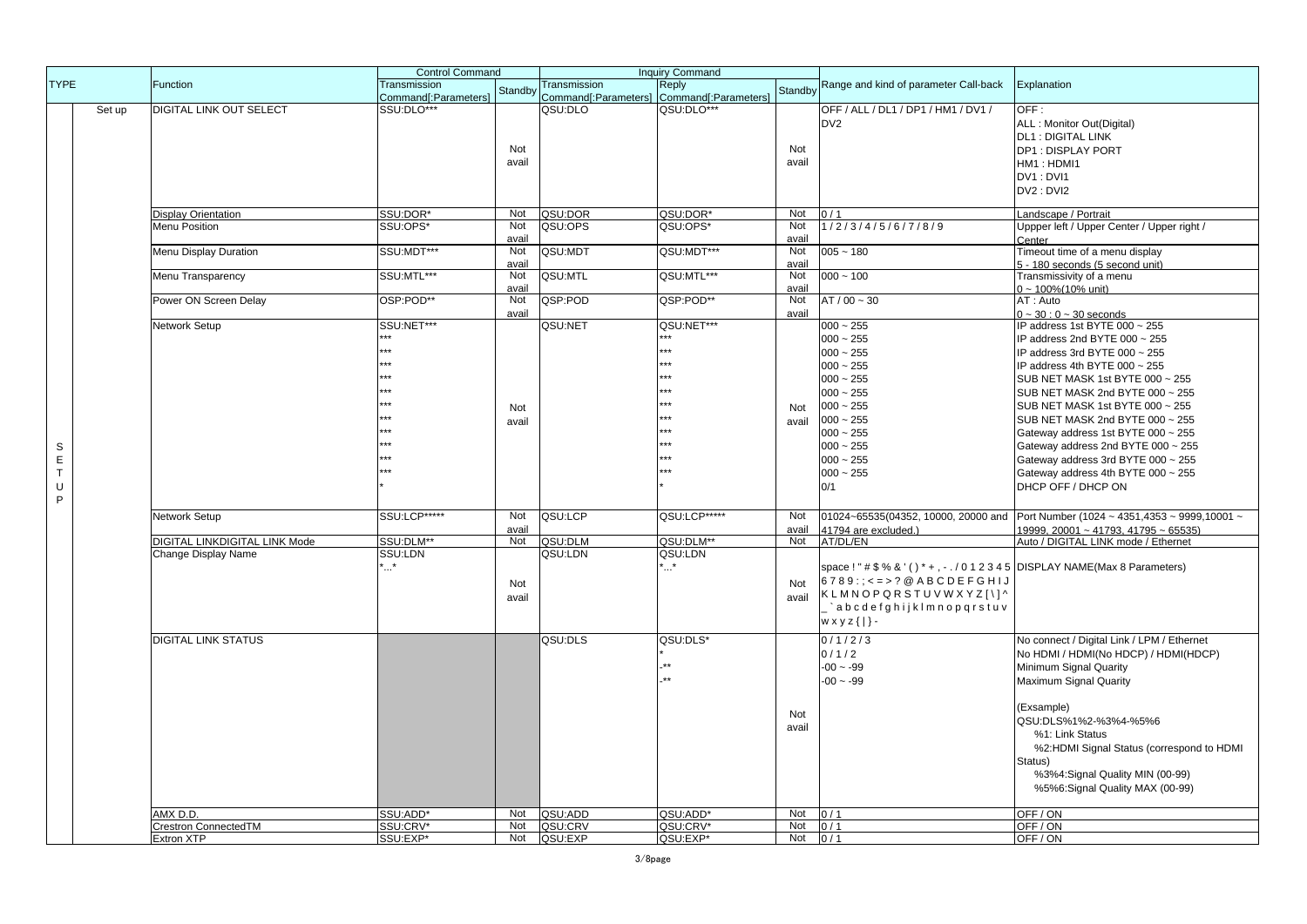|             |        |                                      | <b>Control Command</b>               |         |                                      | <b>Inquiry Command</b>        |         |                                                                                |                                              |
|-------------|--------|--------------------------------------|--------------------------------------|---------|--------------------------------------|-------------------------------|---------|--------------------------------------------------------------------------------|----------------------------------------------|
| <b>TYPE</b> |        | Function                             | Transmission<br>Command[:Parameters] | Standby | Transmission<br>Command[:Parameters] | Reply<br>Command[:Parameters] | Standby | Range and kind of parameter Call-back                                          | Explanation                                  |
|             | Set up | DIGITAL LINK OUT SELECT              | SSU:DLO***                           |         | QSU:DLO                              | QSU:DLO***                    |         | OFF / ALL / DL1 / DP1 / HM1 / DV1 /                                            | OFF:                                         |
|             |        |                                      |                                      |         |                                      |                               |         | DV <sub>2</sub>                                                                | ALL: Monitor Out(Digital)                    |
|             |        |                                      |                                      |         |                                      |                               |         |                                                                                | DL1: DIGITAL LINK                            |
|             |        |                                      |                                      | Not     |                                      |                               | Not     |                                                                                | DP1: DISPLAY PORT                            |
|             |        |                                      |                                      | avail   |                                      |                               | avail   |                                                                                | HM1: HDMI1                                   |
|             |        |                                      |                                      |         |                                      |                               |         |                                                                                | <b>DV1: DVI1</b>                             |
|             |        |                                      |                                      |         |                                      |                               |         |                                                                                | DV2: DVI2                                    |
|             |        | <b>Display Orientation</b>           | SSU:DOR*                             | Not     | QSU:DOR                              | QSU:DOR*                      | Not     | 0/1                                                                            | Landscape / Portrait                         |
|             |        | Menu Position                        | SSU:OPS*                             | Not     | QSU:OPS                              | QSU:OPS*                      | Not     | 1/2/3/4/5/6/7/8/9                                                              | Uppper left / Upper Center / Upper right /   |
|             |        |                                      |                                      | avail   |                                      |                               | avail   |                                                                                | Center                                       |
|             |        | Menu Display Duration                | SSU:MDT***                           | Not     | QSU:MDT                              | QSU:MDT***                    | Not     | $005 - 180$                                                                    | Timeout time of a menu display               |
|             |        |                                      |                                      | avail   |                                      |                               | avail   |                                                                                | 5 - 180 seconds (5 second unit)              |
|             |        | Menu Transparency                    | SSU:MTL***                           | Not     | QSU:MTL                              | QSU:MTL***                    | Not     | $000 - 100$                                                                    | Transmissivity of a menu                     |
|             |        |                                      |                                      | avail   |                                      |                               | avail   |                                                                                | $0 - 100\%$ (10% unit)                       |
|             |        | Power ON Screen Delay                | OSP:POD**                            | Not     | QSP:POD                              | QSP:POD**                     | Not     | $AT / 00 - 30$                                                                 | AT: Auto                                     |
|             |        |                                      | SSU:NET***                           | avail   |                                      | QSU:NET***                    | avail   |                                                                                | $0 - 30 : 0 - 30$ seconds                    |
|             |        | Network Setup                        |                                      |         | QSU:NET                              | .                             |         | $000 - 255$                                                                    | IP address 1st BYTE 000 ~ 255                |
|             |        |                                      | ***                                  |         |                                      | ***                           |         | $000 - 255$                                                                    | IP address 2nd BYTE 000 ~ 255                |
|             |        |                                      | ***                                  |         |                                      | ***                           |         | $000 - 255$                                                                    | IP address 3rd BYTE 000 ~ 255                |
|             |        |                                      |                                      |         |                                      | **                            |         | $000 - 255$                                                                    | IP address 4th BYTE 000 ~ 255                |
|             |        |                                      |                                      |         |                                      | ***                           |         | $000 - 255$                                                                    | SUB NET MASK 1st BYTE 000 ~ 255              |
|             |        |                                      |                                      |         |                                      | ***                           |         | $000 - 255$                                                                    | SUB NET MASK 2nd BYTE 000 ~ 255              |
|             |        |                                      |                                      | Not     |                                      |                               | Not     | $000 - 255$                                                                    | SUB NET MASK 1st BYTE 000 ~ 255              |
|             |        |                                      |                                      | avail   |                                      | ***                           | avail   | $000 - 255$                                                                    | SUB NET MASK 2nd BYTE 000 ~ 255              |
|             |        |                                      |                                      |         |                                      | ***                           |         | $000 - 255$                                                                    | Gateway address 1st BYTE 000 ~ 255           |
| S           |        |                                      |                                      |         |                                      | ***                           |         | $000 - 255$                                                                    | Gateway address 2nd BYTE 000 ~ 255           |
| $\mathsf E$ |        |                                      |                                      |         |                                      | .                             |         | $000 - 255$                                                                    | Gateway address 3rd BYTE 000 ~ 255           |
| $\top$      |        |                                      |                                      |         |                                      | $***$                         |         | $000 - 255$                                                                    | Gateway address 4th BYTE 000 ~ 255           |
| U           |        |                                      |                                      |         |                                      |                               |         | 0/1                                                                            | DHCP OFF / DHCP ON                           |
| P           |        |                                      |                                      |         |                                      |                               |         |                                                                                |                                              |
|             |        | Network Setup                        | SSU:LCP*****                         | Not     | QSU:LCP                              | QSU:LCP*****                  | Not     | 01024~65535(04352, 10000, 20000 and                                            | Port Number (1024 ~ 4351,4353 ~ 9999,10001 ~ |
|             |        |                                      |                                      | avail   |                                      |                               | avail   | 41794 are excluded.)                                                           | 19999, 20001 ~ 41793, 41795 ~ 65535)         |
|             |        | <b>DIGITAL LINKDIGITAL LINK Mode</b> | SSU:DLM**                            | Not     | QSU:DLM                              | QSU:DLM**                     | Not     | AT/DL/EN                                                                       | Auto / DIGITAL LINK mode / Ethernet          |
|             |        | Change Display Name                  | SSU:LDN                              |         | QSU:LDN                              | QSU:LDN                       |         |                                                                                |                                              |
|             |        |                                      | *                                    |         |                                      | ∵.*                           |         | space ! " # \$ % & ' () * + , - . / 0 1 2 3 4 5 DISPLAY NAME(Max 8 Parameters) |                                              |
|             |        |                                      |                                      | Not     |                                      |                               | Not     | $6789$ : ; < = > ? @ ABCDEFGHIJ                                                |                                              |
|             |        |                                      |                                      | avail   |                                      |                               | avail   | KLMNOPQRSTUVWXYZ[\]^                                                           |                                              |
|             |        |                                      |                                      |         |                                      |                               |         | `abcdefghijkImnopqrstuv                                                        |                                              |
|             |        |                                      |                                      |         |                                      |                               |         | $w \times y \times \{\mid\}$ -                                                 |                                              |
|             |        |                                      |                                      |         |                                      |                               |         |                                                                                |                                              |
|             |        | <b>DIGITAL LINK STATUS</b>           |                                      |         | QSU:DLS                              | QSU:DLS*                      |         | 0/1/2/3                                                                        | No connect / Digital Link / LPM / Ethernet   |
|             |        |                                      |                                      |         |                                      | $^{\star\star}$               |         | 0/1/2                                                                          | No HDMI / HDMI(No HDCP) / HDMI(HDCP)         |
|             |        |                                      |                                      |         |                                      | $\star\star$                  |         | $-00 - 99$                                                                     | Minimum Signal Quarity                       |
|             |        |                                      |                                      |         |                                      |                               |         | $-00 - 99$                                                                     | Maximum Signal Quarity                       |
|             |        |                                      |                                      |         |                                      |                               |         |                                                                                |                                              |
|             |        |                                      |                                      |         |                                      |                               | Not     |                                                                                | (Exsample)                                   |
|             |        |                                      |                                      |         |                                      |                               | avail   |                                                                                | QSU:DLS%1%2-%3%4-%5%6                        |
|             |        |                                      |                                      |         |                                      |                               |         |                                                                                | %1: Link Status                              |
|             |        |                                      |                                      |         |                                      |                               |         |                                                                                | %2:HDMI Signal Status (correspond to HDMI    |
|             |        |                                      |                                      |         |                                      |                               |         |                                                                                | Status)                                      |
|             |        |                                      |                                      |         |                                      |                               |         |                                                                                | %3%4:Signal Quality MIN (00-99)              |
|             |        |                                      |                                      |         |                                      |                               |         |                                                                                | %5%6:Signal Quality MAX (00-99)              |
|             |        |                                      |                                      |         |                                      |                               |         |                                                                                |                                              |
|             |        | AMX <sub>D.D.</sub>                  | SSU:ADD*                             | Not     | QSU:ADD                              | QSU:ADD*                      | Not     | 0/1                                                                            | OFF/ON                                       |
|             |        | Crestron ConnectedTM                 | SSU:CRV*                             | Not     | QSU:CRV                              | QSU:CRV*                      | Not     | 0/1                                                                            | OFF/ON                                       |
|             |        | Extron XTP                           | SSU:EXP*                             | Not     | QSU:EXP                              | QSU:EXP*                      | Not     | 0/1                                                                            | OFF/ON                                       |

3/8page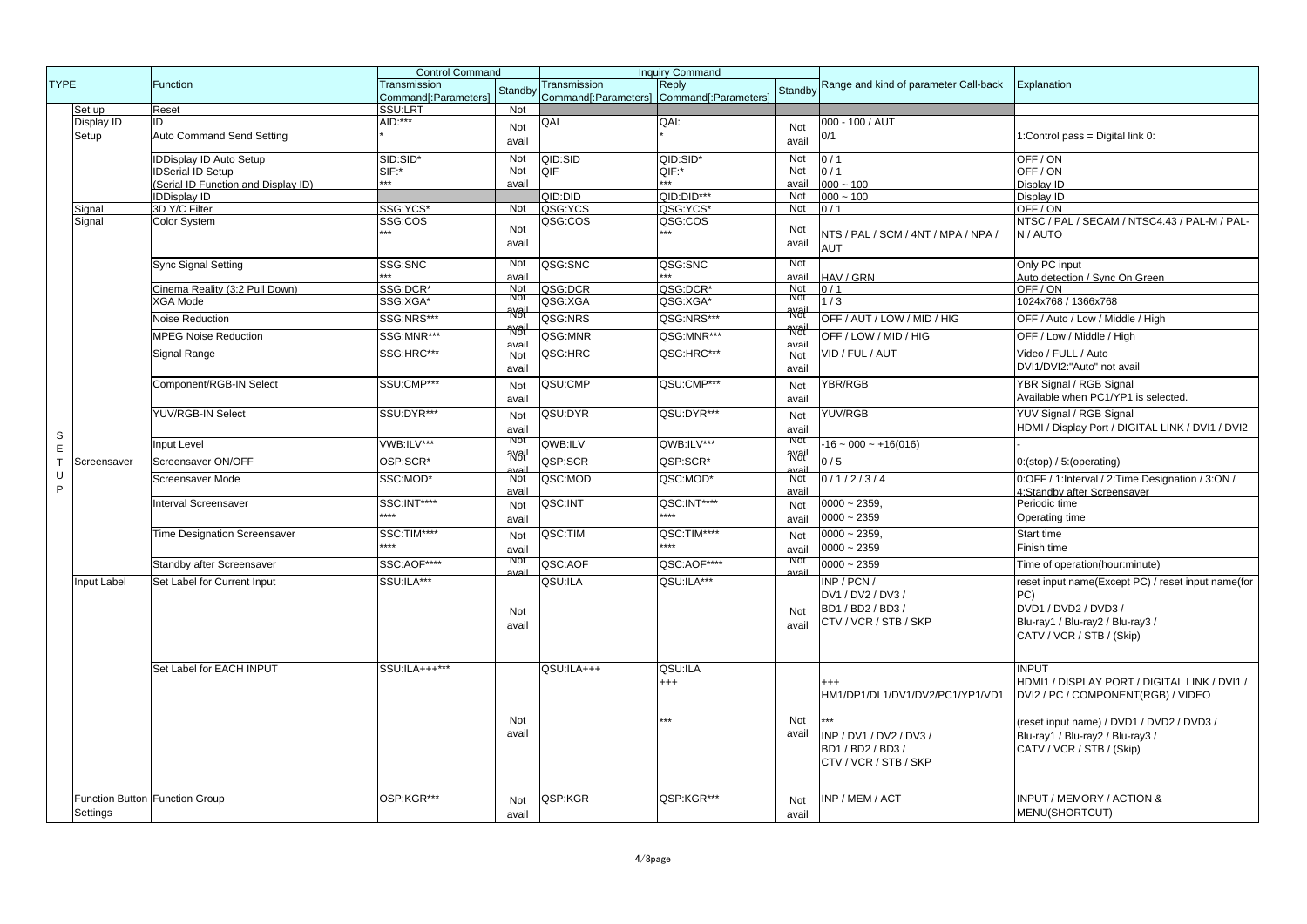|              |                                |                                     | <b>Control Command</b>               |                 | <b>Inquiry Command</b>               |                               |                  |                                                   |                                                    |
|--------------|--------------------------------|-------------------------------------|--------------------------------------|-----------------|--------------------------------------|-------------------------------|------------------|---------------------------------------------------|----------------------------------------------------|
| <b>TYPE</b>  |                                | Function                            | Transmission<br>Command[:Parameters] | Standby         | Transmission<br>Command[:Parameters] | Reply<br>Command[:Parameters] | Standby          | Range and kind of parameter Call-back             | Explanation                                        |
|              | Set up                         | Reset                               | SSU:LRT                              | Not             |                                      |                               |                  |                                                   |                                                    |
|              | Display ID                     | ID.                                 | $AID***$                             | Not             | QAI                                  | QAI:                          | Not              | 000 - 100 / AUT                                   |                                                    |
|              | Setup                          | Auto Command Send Setting           |                                      | avail           |                                      |                               | avail            | 0/1                                               | 1:Control pass = Digital link 0:                   |
|              |                                | <b>IDDisplay ID Auto Setup</b>      | SID:SID*                             | Not             | QID:SID                              | QID:SID*                      | Not              | 0/1                                               | OFF/ON                                             |
|              |                                | <b>IDSerial ID Setup</b>            | SIF:*                                | Not             | OIF                                  | QIF:*                         | Not              | 0/1                                               | OFF/ON                                             |
|              |                                | (Serial ID Function and Display ID) | $***$                                | avail           |                                      |                               | avail            | $000 - 100$                                       | Display ID                                         |
|              |                                | <b>IDDisplay ID</b>                 |                                      |                 | QID:DID                              | QID:DID***                    | Not              | $000 - 100$                                       | Display ID                                         |
|              | Signal                         | 3D Y/C Filter                       | SSG:YCS*                             | Not             | QSG:YCS                              | QSG:YCS*                      | Not              | 0/1                                               | OFF/ON                                             |
|              | Signal                         | Color System                        | SSG:COS                              |                 | QSG:COS                              | QSG:COS                       |                  |                                                   | NTSC / PAL / SECAM / NTSC4.43 / PAL-M / PAL-       |
|              |                                |                                     |                                      | Not<br>avail    |                                      |                               | Not<br>avail     | NTS / PAL / SCM / 4NT / MPA / NPA /<br><b>AUT</b> | N / AUTO                                           |
|              |                                | <b>Sync Signal Setting</b>          | SSG:SNC                              | Not             | QSG:SNC                              | QSG:SNC                       | Not              |                                                   | Only PC input                                      |
|              |                                |                                     |                                      | avail           |                                      |                               | avail            | HAV / GRN                                         | Auto detection / Sync On Green                     |
|              |                                | Cinema Reality (3:2 Pull Down)      | SSG:DCR*                             | Not             | QSG:DCR                              | QSG:DCR*                      | Not              | 0/1                                               | OFF / ON                                           |
|              |                                | <b>XGA Mode</b>                     | SSG:XGA*                             | ποτ             | QSG:XGA                              | QSG:XGA*                      | <b>NOI</b>       | 1/3                                               | 1024x768 / 1366x768                                |
|              |                                | <b>Noise Reduction</b>              | SSG:NRS***                           | <b>RK</b> ail   | QSG:NRS                              | QSG:NRS***                    | <del>avail</del> | OFF / AUT / LOW / MID / HIG                       |                                                    |
|              |                                |                                     |                                      | <del>'N∂i</del> |                                      |                               | <b>Rol</b>       |                                                   | OFF / Auto / Low / Middle / High                   |
|              |                                | <b>MPEG Noise Reduction</b>         | SSG:MNR***                           |                 | QSG:MNR                              | QSG:MNR***                    |                  | OFF / LOW / MID / HIG                             | OFF / Low / Middle / High                          |
|              |                                | Signal Range                        | SSG:HRC***                           | Not             | QSG:HRC                              | QSG:HRC***                    | Not              | VID / FUL / AUT                                   | Video / FULL / Auto                                |
|              |                                |                                     |                                      | avail           |                                      |                               | avail            |                                                   | DVI1/DVI2:"Auto" not avail                         |
|              |                                | Component/RGB-IN Select             | SSU:CMP***                           |                 | QSU:CMP                              | QSU:CMP***                    |                  | YBR/RGB                                           | YBR Signal / RGB Signal                            |
|              |                                |                                     |                                      | Not<br>avail    |                                      |                               | Not<br>avail     |                                                   | Available when PC1/YP1 is selected.                |
|              |                                | YUV/RGB-IN Select                   | SSU:DYR***                           | Not             | QSU:DYR                              | QSU:DYR***                    | Not              | YUV/RGB                                           | YUV Signal / RGB Signal                            |
|              |                                |                                     |                                      | avail           |                                      |                               | avail            |                                                   | HDMI / Display Port / DIGITAL LINK / DVI1 / DVI2   |
| $\mathbb S$  |                                | Input Level                         | VWB:ILV***                           | <b>NO</b>       | QWB:ILV                              | QWB:ILV***                    | <b>NOT</b>       | $-16 - 000 - +16(016)$                            |                                                    |
| E            |                                |                                     |                                      | <del>Wði</del>  |                                      |                               | <del>avail</del> |                                                   |                                                    |
| $\mathsf{T}$ | Screensaver                    | Screensaver ON/OFF                  | OSP:SCR*                             |                 | QSP:SCR                              | QSP:SCR*                      |                  | 0/5                                               | 0:(stop) / 5:(operating))                          |
| U<br>P       |                                | Screensaver Mode                    | SSC:MOD*                             | Not             | QSC:MOD                              | QSC:MOD*                      | Not              | 0/1/2/3/4                                         | 0:OFF / 1:Interval / 2:Time Designation / 3:ON /   |
|              |                                |                                     |                                      | avail           |                                      |                               | avail            |                                                   | 4:Standby after Screensaver                        |
|              |                                | <b>Interval Screensaver</b>         | SSC:INT****<br>****                  | Not             | QSC:INT                              | QSC:INT****<br>****           | Not              | $0000 - 2359,$                                    | Periodic time                                      |
|              |                                |                                     |                                      | avail           |                                      |                               | avail            | $0000 - 2359$                                     | Operating time                                     |
|              |                                | <b>Time Designation Screensaver</b> | SSC:TIM****                          | Not             | QSC:TIM                              | QSC:TIM****                   | Not              | $0000 - 2359$                                     | <b>Start time</b>                                  |
|              |                                |                                     | $***$                                | avail           |                                      | ****                          | avail            | $0000 - 2359$                                     | Finish time                                        |
|              |                                | Standby after Screensaver           | SSC:AOF****                          | πνοτ            | QSC:AOF                              | QSC:AOF****                   | <b>NOT</b>       | $0000 - 2359$                                     | Time of operation(hour:minute)                     |
|              | Input Label                    | Set Label for Current Input         | SSU:ILA***                           |                 | QSU:ILA                              | QSU:ILA***                    |                  | INP / PCN /                                       | reset input name(Except PC) / reset input name(for |
|              |                                |                                     |                                      |                 |                                      |                               |                  |                                                   |                                                    |
|              |                                |                                     |                                      |                 |                                      |                               |                  | DV1 / DV2 / DV3 /                                 | PC)                                                |
|              |                                |                                     |                                      | Not             |                                      |                               | Not              | BD1 / BD2 / BD3 /                                 | DVD1 / DVD2 / DVD3 /                               |
|              |                                |                                     |                                      | avail           |                                      |                               | avail            | CTV / VCR / STB / SKP                             | Blu-ray1 / Blu-ray2 / Blu-ray3 /                   |
|              |                                |                                     |                                      |                 |                                      |                               |                  |                                                   | CATV / VCR / STB / (Skip)                          |
|              |                                |                                     |                                      |                 |                                      |                               |                  |                                                   |                                                    |
|              |                                | Set Label for EACH INPUT            | SSU:ILA+++***                        |                 | QSU:ILA+++                           | QSU:ILA                       |                  |                                                   | <b>INPUT</b>                                       |
|              |                                |                                     |                                      |                 |                                      | $^{+++}$                      |                  | $^{+++}$                                          | HDMI1 / DISPLAY PORT / DIGITAL LINK / DVI1 /       |
|              |                                |                                     |                                      |                 |                                      |                               |                  | HM1/DP1/DL1/DV1/DV2/PC1/YP1/VD1                   | DVI2 / PC / COMPONENT(RGB) / VIDEO                 |
|              |                                |                                     |                                      |                 |                                      |                               |                  |                                                   |                                                    |
|              |                                |                                     |                                      | Not             |                                      | ***                           | Not              |                                                   | (reset input name) / DVD1 / DVD2 / DVD3 /          |
|              |                                |                                     |                                      | avail           |                                      |                               | avail            | INP / DV1 / DV2 / DV3 /                           | Blu-ray1 / Blu-ray2 / Blu-ray3 /                   |
|              |                                |                                     |                                      |                 |                                      |                               |                  | BD1 / BD2 / BD3 /                                 | CATV / VCR / STB / (Skip)                          |
|              |                                |                                     |                                      |                 |                                      |                               |                  | CTV / VCR / STB / SKP                             |                                                    |
|              |                                |                                     |                                      |                 |                                      |                               |                  |                                                   |                                                    |
|              |                                |                                     |                                      |                 |                                      |                               |                  |                                                   |                                                    |
|              | Function Button Function Group |                                     | OSP:KGR***                           | Not             | QSP:KGR                              | QSP:KGR***                    | Not              | INP / MEM / ACT                                   | <b>INPUT / MEMORY / ACTION &amp;</b>               |
|              | Settings                       |                                     |                                      | avail           |                                      |                               | avail            |                                                   | MENU(SHORTCUT)                                     |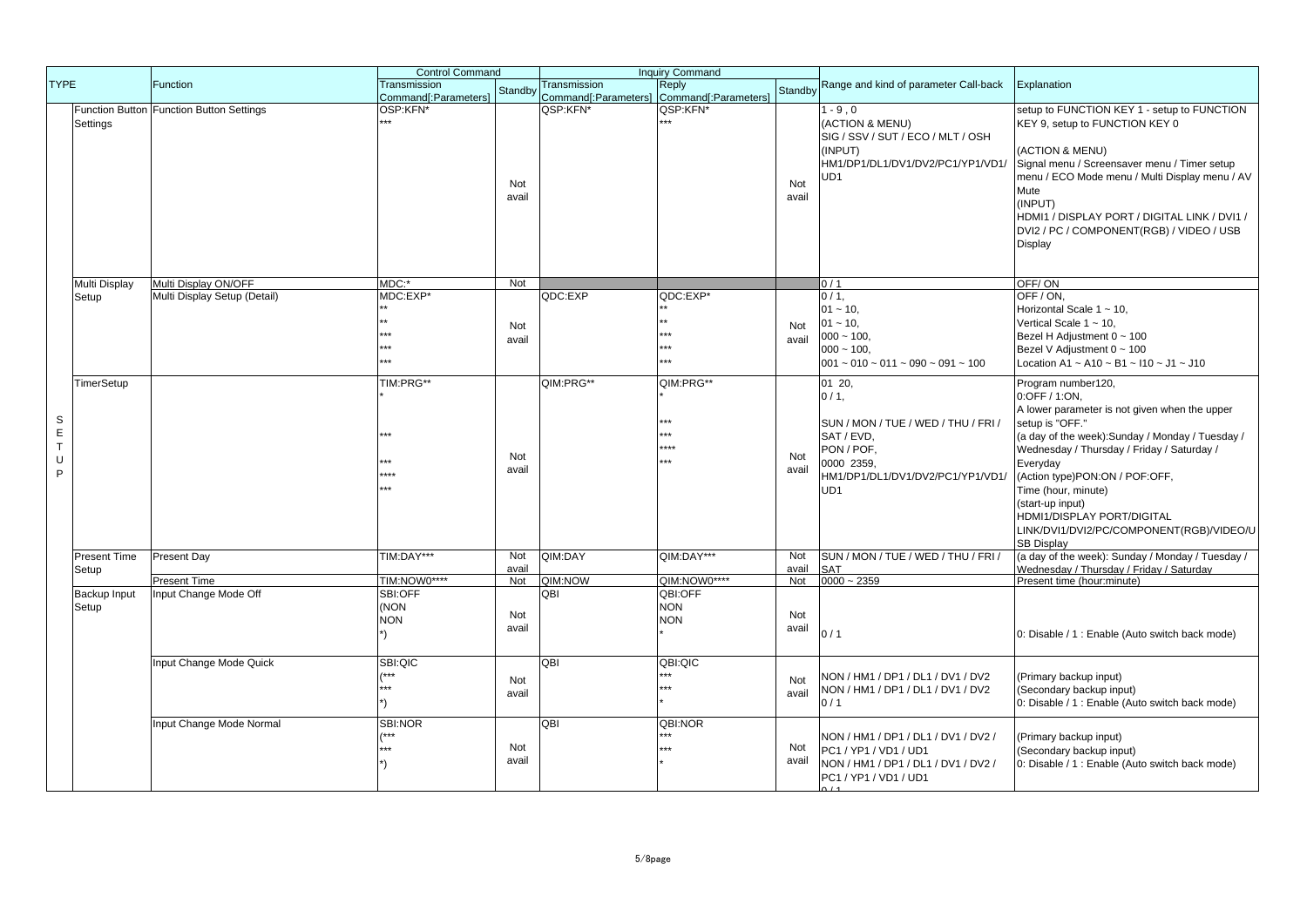|                                                  |                              |                                          | <b>Control Command</b>                            |              |                                                           | <b>Inquiry Command</b>                          |              |                                                                                                                                                        |                                                                                                                                                                                                                                                                                                                                                                                                   |
|--------------------------------------------------|------------------------------|------------------------------------------|---------------------------------------------------|--------------|-----------------------------------------------------------|-------------------------------------------------|--------------|--------------------------------------------------------------------------------------------------------------------------------------------------------|---------------------------------------------------------------------------------------------------------------------------------------------------------------------------------------------------------------------------------------------------------------------------------------------------------------------------------------------------------------------------------------------------|
| <b>TYPE</b>                                      |                              | <b>Function</b>                          | Transmission<br>Command <sup>[</sup> :Parameters] | Standby      | Transmission<br>Command[:Parameters] Command[:Parameters] | Reply                                           | Standby      | Range and kind of parameter Call-back                                                                                                                  | Explanation                                                                                                                                                                                                                                                                                                                                                                                       |
|                                                  | Settings                     | Function Button Function Button Settings | OSP:KFN*                                          | Not<br>avail | QSP:KFN*                                                  | QSP:KFN*                                        | Not<br>avail | $1 - 9.0$<br>(ACTION & MENU)<br>SIG / SSV / SUT / ECO / MLT / OSH<br>(INPUT)<br>HM1/DP1/DL1/DV1/DV2/PC1/YP1/VD1/<br>UD1                                | setup to FUNCTION KEY 1 - setup to FUNCTION<br>KEY 9, setup to FUNCTION KEY 0<br>(ACTION & MENU)<br>Signal menu / Screensaver menu / Timer setup<br>menu / ECO Mode menu / Multi Display menu / AV<br>Mute<br>(INPUT)<br>HDMI1 / DISPLAY PORT / DIGITAL LINK / DVI1 /<br>DVI2 / PC / COMPONENT(RGB) / VIDEO / USB<br>Display                                                                      |
|                                                  | Multi Display                | Multi Display ON/OFF                     | MDC:*                                             | Not          |                                                           |                                                 |              | 0/1                                                                                                                                                    | OFF/ON                                                                                                                                                                                                                                                                                                                                                                                            |
|                                                  | Setup                        | Multi Display Setup (Detail)             | MDC:EXP*<br>بديديه                                | Not<br>avail | QDC:EXP                                                   | QDC:EXP*<br>***<br>ی ی ر<br>***                 | Not<br>avail | $0/1$ ,<br>$01 - 10$<br>$01 - 10$ ,<br>$000 - 100,$<br>$000 - 100$<br>$001 \sim 010 \sim 011 \sim 090 \sim 091 \sim 100$                               | OFF / ON.<br>Horizontal Scale $1 \sim 10$ ,<br>Vertical Scale $1 \sim 10$ ,<br>Bezel H Adjustment 0 ~ 100<br>Bezel V Adjustment 0 ~ 100<br>Location A1 ~ A10 ~ B1 ~ I10 ~ J1 ~ J10                                                                                                                                                                                                                |
| S<br>$\mathsf E$<br>$\bar{\mathsf{T}}$<br>U<br>P | TimerSetup                   |                                          | TIM:PRG**<br>****                                 | Not<br>avail | QIM:PRG**                                                 | QIM:PRG**<br>***<br>e sk sk<br>$***$<br>e sk sk | Not<br>avail | 01 20,<br>0/1.<br>SUN / MON / TUE / WED / THU / FRI /<br>SAT / EVD,<br>PON / POF.<br>0000 2359.<br>HM1/DP1/DL1/DV1/DV2/PC1/YP1/VD1/<br>UD <sub>1</sub> | Program number120,<br>0:OFF / 1:ON.<br>A lower parameter is not given when the upper<br>setup is "OFF."<br>(a day of the week): Sunday / Monday / Tuesday /<br>Wednesday / Thursday / Friday / Saturday /<br>Everyday<br>(Action type)PON:ON / POF:OFF,<br>Time (hour, minute)<br>(start-up input)<br>HDMI1/DISPLAY PORT/DIGITAL<br>LINK/DVI1/DVI2/PC/COMPONENT(RGB)/VIDEO/U<br><b>SB Display</b> |
|                                                  | <b>Present Time</b><br>Setup | Present Day                              | TIM:DAY***                                        | Not<br>avail | QIM:DAY                                                   | QIM:DAY***                                      | Not<br>avail | SUN / MON / TUE / WED / THU / FRI /<br><b>SAT</b>                                                                                                      | (a day of the week): Sunday / Monday / Tuesday /<br>Wednesdav / Thursdav / Fridav / Saturdav                                                                                                                                                                                                                                                                                                      |
|                                                  |                              | Present Time                             | TIM:NOW0****                                      | Not          | QIM:NOW                                                   | QIM:NOW0****                                    | Not          | $0000 - 2359$                                                                                                                                          | Present time (hour:minute)                                                                                                                                                                                                                                                                                                                                                                        |
|                                                  | Backup Input<br>Setup        | Input Change Mode Off                    | SBI:OFF<br>(NON)<br><b>NON</b>                    | Not<br>avail | QBI                                                       | QBI:OFF<br><b>NON</b><br><b>NON</b>             | Not<br>avail | 0/1                                                                                                                                                    | 0: Disable / 1 : Enable (Auto switch back mode)                                                                                                                                                                                                                                                                                                                                                   |
|                                                  |                              | Input Change Mode Quick                  | SBI:QIC<br>$***$<br>***                           | Not<br>avail | QBI                                                       | QBI:QIC<br>***<br>$***$                         | Not<br>avail | NON / HM1 / DP1 / DL1 / DV1 / DV2<br>NON / HM1 / DP1 / DL1 / DV1 / DV2<br>0/1                                                                          | (Primary backup input)<br>(Secondary backup input)<br>0: Disable / 1 : Enable (Auto switch back mode)                                                                                                                                                                                                                                                                                             |
|                                                  |                              | Input Change Mode Normal                 | SBI:NOR<br>$***$                                  | Not<br>avail | QBI                                                       | QBI:NOR<br>***                                  | Not<br>avail | NON / HM1 / DP1 / DL1 / DV1 / DV2 /<br>PC1 / YP1 / VD1 / UD1<br>NON / HM1 / DP1 / DL1 / DV1 / DV2 /<br>PC1 / YP1 / VD1 / UD1                           | (Primary backup input)<br>(Secondary backup input)<br>0: Disable / 1 : Enable (Auto switch back mode)                                                                                                                                                                                                                                                                                             |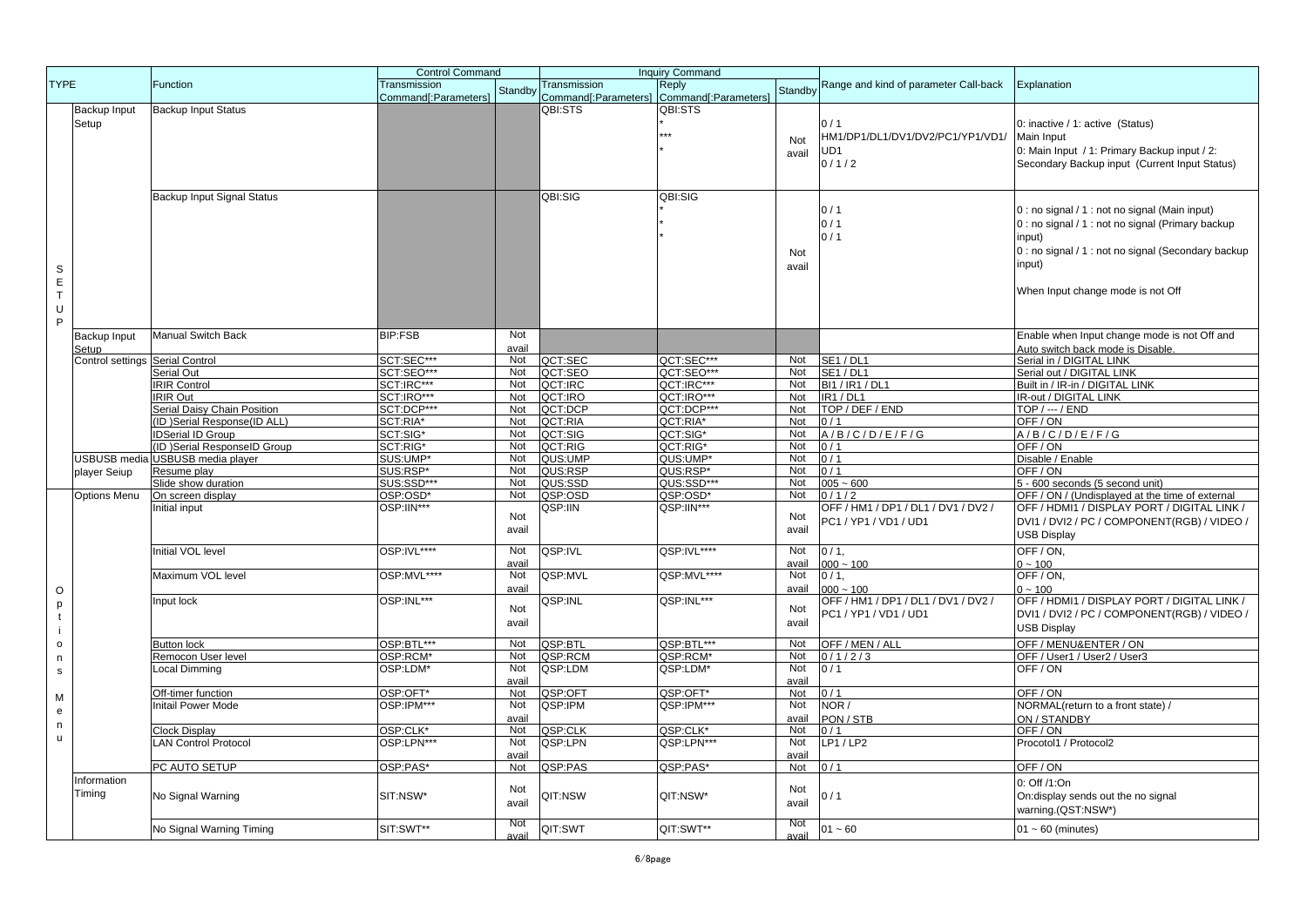|                |                     |                                                         | <b>Control Command</b> |            |                      | <b>Inquiry Command</b> |            |                                       |                                                     |
|----------------|---------------------|---------------------------------------------------------|------------------------|------------|----------------------|------------------------|------------|---------------------------------------|-----------------------------------------------------|
| <b>TYPE</b>    |                     | Function                                                | Transmission           |            | Transmission         | Reply                  | Standby    | Range and kind of parameter Call-back | Explanation                                         |
|                |                     |                                                         | Command[:Parameters]   | Standby    | Command[:Parameters] | Command[:Parameters]   |            |                                       |                                                     |
|                | Backup Input        | <b>Backup Input Status</b>                              |                        |            | QBI:STS              | QBI:STS                |            |                                       |                                                     |
|                | Setup               |                                                         |                        |            |                      |                        |            | 0/1                                   | 0: inactive / 1: active (Status)                    |
|                |                     |                                                         |                        |            |                      |                        | Not        | HM1/DP1/DL1/DV1/DV2/PC1/YP1/VD1/      | Main Input                                          |
|                |                     |                                                         |                        |            |                      |                        | avail      | UD1                                   | 0: Main Input / 1: Primary Backup input / 2:        |
|                |                     |                                                         |                        |            |                      |                        |            | 0/1/2                                 | Secondary Backup input (Current Input Status)       |
|                |                     |                                                         |                        |            |                      |                        |            |                                       |                                                     |
|                |                     |                                                         |                        |            |                      |                        |            |                                       |                                                     |
|                |                     | <b>Backup Input Signal Status</b>                       |                        |            | QBI:SIG              | QBI:SIG                |            |                                       |                                                     |
|                |                     |                                                         |                        |            |                      |                        |            | 0/1                                   | 0 : no signal / 1 : not no signal (Main input)      |
|                |                     |                                                         |                        |            |                      |                        |            | 0/1                                   | 0 : no signal / 1 : not no signal (Primary backup   |
|                |                     |                                                         |                        |            |                      |                        |            | 0/1                                   | input)                                              |
|                |                     |                                                         |                        |            |                      |                        | Not        |                                       | 0 : no signal / 1 : not no signal (Secondary backup |
|                |                     |                                                         |                        |            |                      |                        | avail      |                                       | input)                                              |
| $\mathbb S$    |                     |                                                         |                        |            |                      |                        |            |                                       |                                                     |
| $\mathsf E$    |                     |                                                         |                        |            |                      |                        |            |                                       | When Input change mode is not Off                   |
| $\top$         |                     |                                                         |                        |            |                      |                        |            |                                       |                                                     |
| U              |                     |                                                         |                        |            |                      |                        |            |                                       |                                                     |
| P              |                     |                                                         |                        |            |                      |                        |            |                                       |                                                     |
|                | Backup Input        | <b>Manual Switch Back</b>                               | <b>BIP:FSB</b>         | Not        |                      |                        |            |                                       | Enable when Input change mode is not Off and        |
|                | Setup               |                                                         |                        | avail      |                      |                        |            |                                       | Auto switch back mode is Disable                    |
|                | Control settings    | <b>Serial Control</b>                                   | SCT:SEC***             | Not        | QCT:SEC              | QCT:SEC***             | Not        | <b>SE1/DL1</b>                        | Serial in / DIGITAL LINK                            |
|                |                     | Serial Out                                              | SCT:SEO***             | Not        | QCT:SEO              | QCT:SEO***             | Not        | <b>SE1/DL1</b>                        | Serial out / DIGITAL LINK                           |
|                |                     | <b>RIR Control</b>                                      | SCT:IRC***             | Not        | QCT:IRC              | QCT:IRC***             | Not        | <b>BI1 / IR1 / DL1</b>                | Built in / IR-in / DIGITAL LINK                     |
|                |                     | RIR Out                                                 | SCT:IRO***             | Not        | QCT:IRO              | QCT:IRO***             | Not        | <b>IR1/DL1</b>                        | IR-out / DIGITAL LINK                               |
|                |                     | Serial Daisy Chain Position                             | SCT:DCP***             | Not<br>Not | QCT:DCP              | QCT:DCP***             | Not        | TOP / DEF / END                       | $TOP / -- / END$                                    |
|                |                     | (ID) Serial Response(ID ALL)                            | SCT:RIA*               | Not        | QCT:RIA              | QCT:RIA*               | Not<br>Not | 0/1<br>A/B/C/D/E/F/G                  | OFF/ON<br>A/B/C/D/E/F/G                             |
|                |                     | <b>IDSerial ID Group</b><br>ID )Serial ResponseID Group | SCT:SIG*<br>SCT:RIG*   | Not        | QCT:SIG<br>QCT:RIG   | QCT:SIG*<br>QCT:RIG*   | Not        | 0/1                                   | OFF/ON                                              |
|                | <b>USBUSB</b> media | <b>USBUSB</b> media player                              | SUS:UMP*               | Not        | QUS:UMP              | QUS:UMP*               | Not        | 0/1                                   | Disable / Enable                                    |
|                |                     |                                                         | SUS:RSP*               | Not        | QUS:RSP              | QUS:RSP*               | Not        | 0/1                                   | OFF / ON                                            |
|                | player Seiup        | Resume play<br>Slide show duration                      | SUS:SSD***             | Not        | QUS:SSD              | QUS:SSD***             | Not        | $005 - 600$                           | 5 - 600 seconds (5 second unit)                     |
|                | Options Menu        | On screen display                                       | OSP:OSD*               | Not        | QSP:OSD              | QSP:OSD*               | Not        | 0/1/2                                 | OFF / ON / (Undisplayed at the time of external     |
|                |                     | Initial input                                           | OSP:IIN***             |            | QSP:IIN              | QSP:IIN***             |            | OFF / HM1 / DP1 / DL1 / DV1 / DV2 /   | OFF / HDMI1 / DISPLAY PORT / DIGITAL LINK /         |
|                |                     |                                                         |                        | Not        |                      |                        | Not        | PC1 / YP1 / VD1 / UD1                 | DVI1 / DVI2 / PC / COMPONENT(RGB) / VIDEO /         |
|                |                     |                                                         |                        | avail      |                      |                        | avail      |                                       | <b>USB Display</b>                                  |
|                |                     |                                                         |                        |            |                      |                        |            |                                       |                                                     |
|                |                     | <b>Initial VOL level</b>                                | OSP:IVL****            | Not        | QSP:IVL              | QSP:IVL****            | Not        | $0/1$ ,                               | OFF/ON,                                             |
|                |                     |                                                         |                        | avail      |                      |                        | avail      | $000 - 100$                           | $0 - 100$                                           |
|                |                     | Maximum VOL level                                       | OSP:MVL****            | Not        | QSP:MVL              | QSP:MVL****            | Not        | $0/1$ ,                               | OFF / ON,                                           |
| $\mathsf O$    |                     |                                                         |                        | avail      |                      |                        | avail      | $000 - 100$                           | $0 - 100$                                           |
| p              |                     | Input lock                                              | OSP:INL***             | Not        | QSP:INL              | QSP:INL***             | Not        | OFF / HM1 / DP1 / DL1 / DV1 / DV2 /   | OFF / HDMI1 / DISPLAY PORT / DIGITAL LINK /         |
| $\mathbf{t}$   |                     |                                                         |                        | avail      |                      |                        | avail      | PC1 / YP1 / VD1 / UD1                 | DVI1 / DVI2 / PC / COMPONENT(RGB) / VIDEO /         |
| $\mathbf{i}$   |                     |                                                         |                        |            |                      |                        |            |                                       | <b>USB Display</b>                                  |
| $\mathsf{o}\,$ |                     | Button lock                                             | OSP:BTL***             | Not        | QSP:BTL              | QSP:BTL***             | Not        | OFF / MEN / ALL                       | OFF / MENU&ENTER / ON                               |
| $\mathsf n$    |                     | Remocon User level                                      | OSP:RCM*               | Not        | QSP:RCM              | QSP:RCM*               | Not        | 0/1/2/3                               | OFF / User1 / User2 / User3                         |
| ${\tt S}$      |                     | Local Dimming                                           | OSP:LDM*               | Not        | QSP:LDM              | QSP:LDM*               | Not        | 0/1                                   | OFF / ON                                            |
|                |                     |                                                         |                        | avail      |                      |                        | avail      |                                       |                                                     |
| M              |                     | Off-timer function                                      | OSP:OFT*               | Not        | QSP:OFT              | QSP:OFT*               | Not        | 0/1                                   | OFF/ON                                              |
| e              |                     | Initail Power Mode                                      | OSP:IPM***             | Not        | QSP:IPM              | QSP:IPM***             | Not        | NOR /                                 | NORMAL(return to a front state) /                   |
| n              |                     |                                                         |                        | avail      |                      |                        | avail      | PON / STB                             | ON / STANDBY                                        |
| u              |                     | Clock Display                                           | OSP:CLK*               | Not        | QSP:CLK              | QSP:CLK*               | Not        | 0/1                                   | OFF/ON                                              |
|                |                     | LAN Control Protocol                                    | OSP:LPN***             | Not        | QSP:LPN              | QSP:LPN***             | Not        | $LP1/\overline{LP2}$                  | Procotol1 / Protocol2                               |
|                |                     |                                                         |                        | avail      |                      |                        | avail      |                                       |                                                     |
|                |                     | PC AUTO SETUP                                           | OSP:PAS*               | Not        | QSP:PAS              | QSP:PAS*               | Not        | 0/1                                   | OFF/ON                                              |
|                | Information         |                                                         |                        | Not        |                      |                        | Not        |                                       | 0: Off /1:On                                        |
|                | Timing              | No Signal Warning                                       | SIT:NSW*               | avail      | QIT:NSW              | QIT:NSW*               | avail      | 0/1                                   | On:display sends out the no signal                  |
|                |                     |                                                         |                        |            |                      |                        |            |                                       | warning.(QST:NSW*)                                  |
|                |                     |                                                         |                        | <b>Not</b> |                      |                        | <b>Not</b> |                                       |                                                     |
|                |                     | No Signal Warning Timing                                | SIT:SWT**              | avail      | QIT:SWT              | QIT:SWT**              | avail      | $01 - 60$                             | $01 - 60$ (minutes)                                 |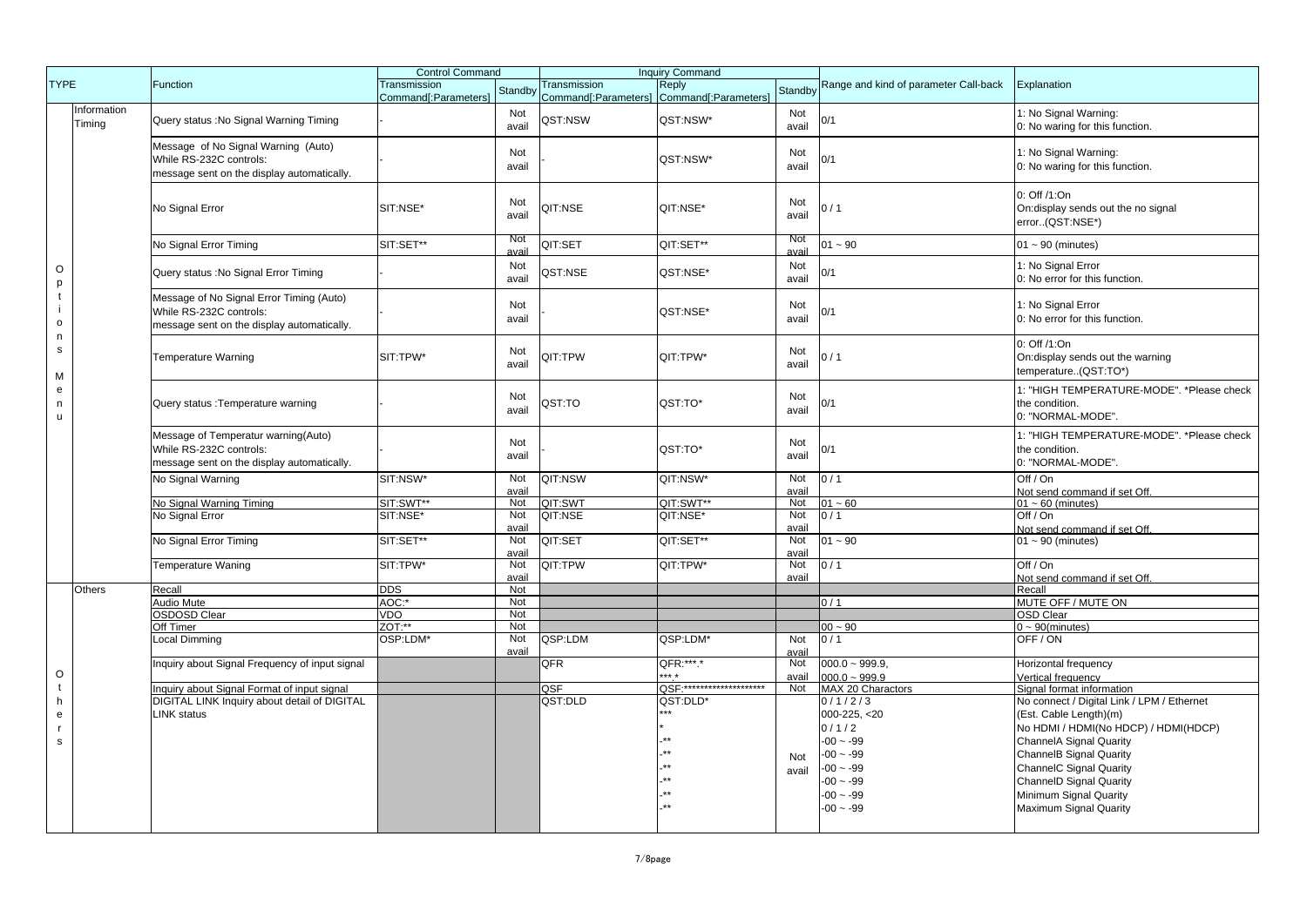|                              |                       |                                                                                                                   | <b>Control Command</b>               |                    | <b>Inquiry Command</b> |                                                    |              |                                       |                                                                                  |
|------------------------------|-----------------------|-------------------------------------------------------------------------------------------------------------------|--------------------------------------|--------------------|------------------------|----------------------------------------------------|--------------|---------------------------------------|----------------------------------------------------------------------------------|
| <b>TYPE</b>                  |                       | Function                                                                                                          | Transmission<br>Command[:Parameters] | Standby            | Transmission           | Reply<br>Command[:Parameters] Command[:Parameters] | Standby      | Range and kind of parameter Call-back | Explanation                                                                      |
|                              | Information<br>Timing | Query status : No Signal Warning Timing                                                                           |                                      | Not<br>avail       | QST:NSW                | QST:NSW*                                           | Not<br>avail | 0/1                                   | 1: No Signal Warning:<br>0: No waring for this function.                         |
|                              |                       | Message of No Signal Warning (Auto)<br>While RS-232C controls:<br>message sent on the display automatically.      |                                      | Not<br>avail       |                        | QST:NSW*                                           | Not<br>avail | 0/1                                   | 1: No Signal Warning:<br>0: No waring for this function.                         |
|                              |                       | No Signal Error                                                                                                   | SIT:NSE*                             | Not<br>avail       | QIT:NSE                | QIT:NSE*                                           | Not<br>avail | 0/1                                   | 0: Off /1:On<br>On:display sends out the no signal<br>error(QST:NSE*)            |
|                              |                       | No Signal Error Timing                                                                                            | SIT:SET**                            | <b>Not</b><br>avai | QIT:SET                | QIT:SET**                                          | Not<br>avai  | $01 - 90$                             | $01 - 90$ (minutes)                                                              |
| O<br>p                       |                       | Query status : No Signal Error Timing                                                                             |                                      | Not<br>avail       | QST:NSE                | QST:NSE*                                           | Not<br>avail | 0/1                                   | 1: No Signal Error<br>0: No error for this function.                             |
| $\mathbf{t}$<br>$\mathsf{o}$ |                       | Message of No Signal Error Timing (Auto)<br>While RS-232C controls:<br>message sent on the display automatically. |                                      | Not<br>avail       |                        | QST:NSE*                                           | Not<br>avail | 0/1                                   | 1: No Signal Error<br>0: No error for this function.                             |
| n<br>$\mathbf{s}$<br>M       |                       | <b>Temperature Warning</b>                                                                                        | SIT:TPW*                             | Not<br>avail       | QIT:TPW                | QIT:TPW*                                           | Not<br>avail | 0/1                                   | 0: Off /1:On<br>On:display sends out the warning<br>temperature(QST:TO*)         |
| ${\bf e}$<br>n<br>u          |                       | Query status : Temperature warning                                                                                |                                      | Not<br>avail       | QST:TO                 | QST:TO*                                            | Not<br>avail | 0/1                                   | 1: "HIGH TEMPERATURE-MODE". *Please check<br>the condition.<br>0: "NORMAL-MODE". |
|                              |                       | Message of Temperatur warning(Auto)<br>While RS-232C controls:<br>message sent on the display automatically.      |                                      | Not<br>avail       |                        | QST:TO*                                            | Not<br>avail | 0/1                                   | 1: "HIGH TEMPERATURE-MODE", *Please check<br>the condition.<br>0: "NORMAL-MODE". |
|                              |                       | No Signal Warning                                                                                                 | SIT:NSW*                             | Not<br>avail       | QIT:NSW                | QIT:NSW*                                           | Not<br>avail | 0/1                                   | Off / On<br>Not send command if set Off.                                         |
|                              |                       | No Signal Warning Timing                                                                                          | SIT:SWT**                            | Not                | QIT:SWT                | QIT:SWT**                                          | Not          | $01 - 60$                             | $01 - 60$ (minutes)                                                              |
|                              |                       | No Signal Error                                                                                                   | SIT:NSE*                             | Not                | QIT:NSE                | QIT:NSE*                                           | Not          | 0/1                                   | Off / $On$                                                                       |
|                              |                       |                                                                                                                   |                                      | avail              |                        |                                                    | avail        |                                       | Not send command if set Off                                                      |
|                              |                       | No Signal Error Timing                                                                                            | SIT:SET**                            | Not<br>avail       | QIT:SET                | QIT:SET**                                          | Not<br>avail | $01 - 90$                             | $01 - 90$ (minutes)                                                              |
|                              |                       | <b>Temperature Waning</b>                                                                                         | SIT:TPW*                             | Not                | QIT:TPW                | QIT:TPW*                                           | Not          | 0/1                                   | Off / On                                                                         |
|                              | Others                |                                                                                                                   | <b>DDS</b>                           | avail<br>Not       |                        |                                                    | avail        |                                       | Not send command if set Off                                                      |
|                              |                       | Recall<br>Audio Mute                                                                                              | AOC:*                                | Not                |                        |                                                    |              | 0/1                                   | Recall<br>MUTE OFF / MUTE ON                                                     |
|                              |                       | OSDOSD Clear                                                                                                      | <b>VDO</b>                           | Not                |                        |                                                    |              |                                       | <b>OSD Clear</b>                                                                 |
|                              |                       | Off Timer                                                                                                         | ZOT:**                               | Not                |                        |                                                    |              | $00 - 90$                             | $0 \sim 90$ (minutes)                                                            |
|                              |                       | Local Dimming                                                                                                     | OSP:LDM*                             | Not<br>avail       | QSP:LDM                | QSP:LDM*                                           | Not          | 0/1                                   | OFF/ON                                                                           |
| $\circ$                      |                       | Inquiry about Signal Frequency of input signal                                                                    |                                      |                    | QFR                    | QFR:***.*<br>$+ + +$                               | avail<br>Not | $000.0 - 999.9$                       | Horizontal frequency                                                             |
|                              |                       |                                                                                                                   |                                      |                    |                        | OSF:*********************                          | avail        | $000.0 - 999.9$                       | Vertical frequency                                                               |
| t                            |                       | Inquiry about Signal Format of input signal                                                                       |                                      |                    | QSF<br>QST:DLD         | QST:DLD*                                           | Not          | MAX 20 Charactors                     | Signal format information                                                        |
| h                            |                       | DIGITAL LINK Inquiry about detail of DIGITAL                                                                      |                                      |                    |                        | ***                                                |              | 0/1/2/3                               | No connect / Digital Link / LPM / Ethernet                                       |
| ${\bf e}$                    |                       | LINK status                                                                                                       |                                      |                    |                        |                                                    |              | $000-225, < 20$                       | (Est. Cable Length)(m)                                                           |
| $\mathsf{r}$                 |                       |                                                                                                                   |                                      |                    |                        |                                                    |              | 0/1/2                                 | No HDMI / HDMI(No HDCP) / HDMI(HDCP)                                             |
| s                            |                       |                                                                                                                   |                                      |                    |                        |                                                    |              | $-00 - 99$                            | <b>ChannelA Signal Quarity</b>                                                   |
|                              |                       |                                                                                                                   |                                      |                    |                        |                                                    | Not          | $-00 - 99$                            | <b>ChannelB Signal Quarity</b>                                                   |
|                              |                       |                                                                                                                   |                                      |                    |                        |                                                    | avail        | $-00 - -99$                           | <b>ChannelC Signal Quarity</b>                                                   |
|                              |                       |                                                                                                                   |                                      |                    |                        |                                                    |              | $-00 - 99$                            | <b>ChannelD Signal Quarity</b>                                                   |
|                              |                       |                                                                                                                   |                                      |                    |                        |                                                    |              | $-00 - 99$                            | Minimum Signal Quarity                                                           |
|                              |                       |                                                                                                                   |                                      |                    |                        |                                                    |              | $-00 - 99$                            | Maximum Signal Quarity                                                           |
|                              |                       |                                                                                                                   |                                      |                    |                        |                                                    |              |                                       |                                                                                  |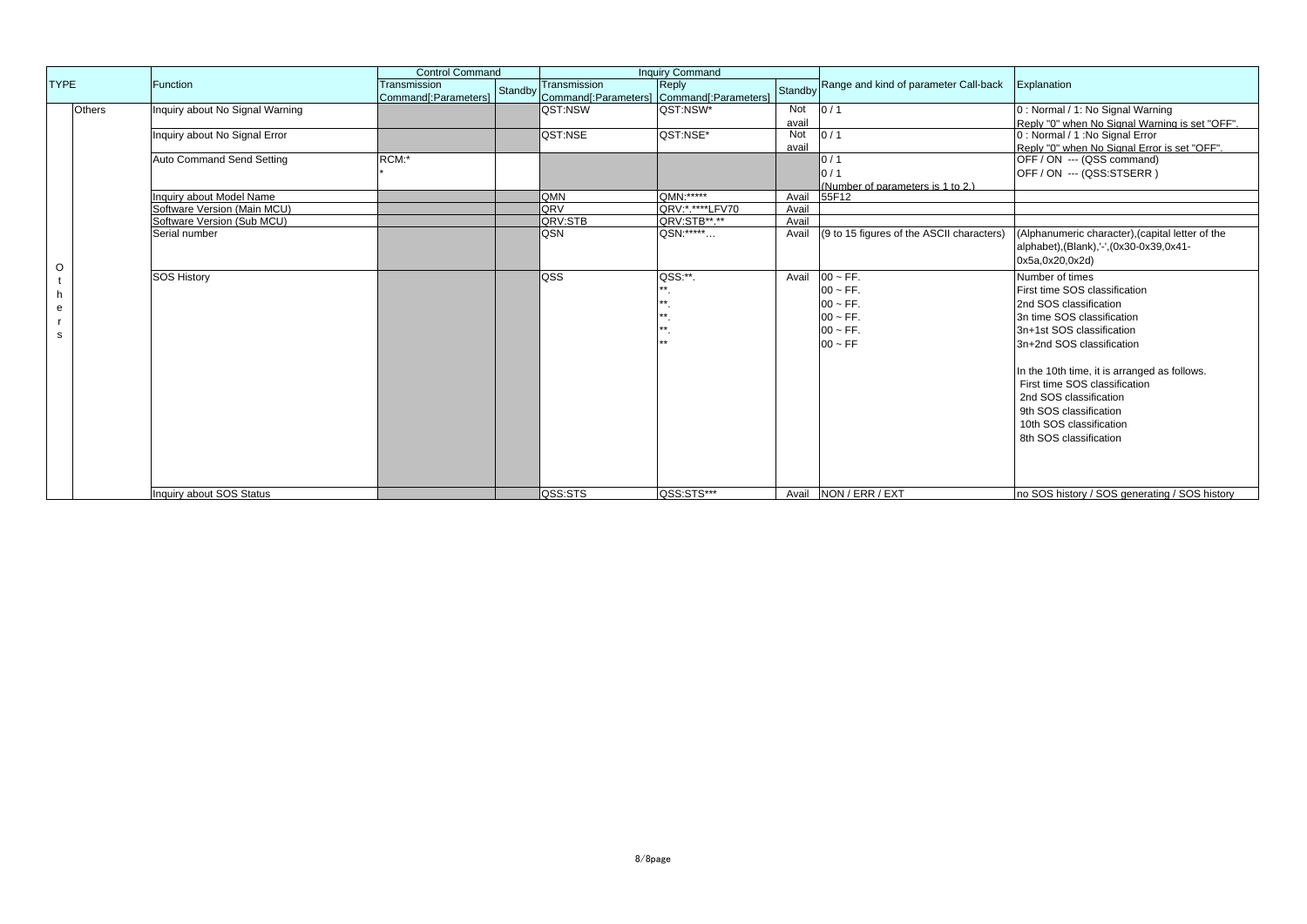|             |               |                                 |                      | <b>Control Command</b> |                                                   | <b>Inquiry Command</b> |         |                                           |                                                  |
|-------------|---------------|---------------------------------|----------------------|------------------------|---------------------------------------------------|------------------------|---------|-------------------------------------------|--------------------------------------------------|
| <b>TYPE</b> |               | Function                        | Transmission         |                        | Transmission                                      | Reply                  | Standby | Range and kind of parameter Call-back     | Explanation                                      |
|             |               |                                 | Command[:Parameters] |                        | Standby Command[:Parameters] Command[:Parameters] |                        |         |                                           |                                                  |
|             | <b>Others</b> | Inquiry about No Signal Warning |                      |                        | QST:NSW                                           | QST:NSW*               | Not     | 0/1                                       | 0 : Normal / 1: No Signal Warning                |
|             |               |                                 |                      |                        |                                                   |                        | avail   |                                           | Reply "0" when No Signal Warning is set "OFF".   |
|             |               | Inquiry about No Signal Error   |                      |                        | <b>OST:NSE</b>                                    | QST:NSE*               | Not     | 0/1                                       | 0 : Normal / 1 : No Signal Error                 |
|             |               |                                 |                      |                        |                                                   |                        | avail   |                                           | Reply "0" when No Signal Error is set "OFF".     |
|             |               | Auto Command Send Setting       | RCM:*                |                        |                                                   |                        |         | 0/1                                       | OFF / ON --- (QSS command)                       |
|             |               |                                 |                      |                        |                                                   |                        |         | $\frac{1}{2}$                             | OFF / ON --- (QSS:STSERR)                        |
|             |               |                                 |                      |                        |                                                   |                        |         | (Number of parameters is 1 to 2.)         |                                                  |
|             |               | Inquiry about Model Name        |                      |                        | <b>IQMN</b>                                       | QMN: *****             | Avail   | 55F12                                     |                                                  |
|             |               | Software Version (Main MCU)     |                      |                        | <b>QRV</b>                                        | QRV: *.*****LFV70      | Avail   |                                           |                                                  |
|             |               | Software Version (Sub MCU)      |                      |                        | QRV:STB                                           | QRV:STB**.**           | Avail   |                                           |                                                  |
|             |               | Serial number                   |                      |                        | <b>QSN</b>                                        | QSN: ******            | Avail   | (9 to 15 figures of the ASCII characters) | (Alphanumeric character), (capital letter of the |
|             |               |                                 |                      |                        |                                                   |                        |         |                                           | alphabet),(Blank),'-',(0x30-0x39,0x41-           |
| O           |               |                                 |                      |                        |                                                   |                        |         |                                           | 0x5a,0x20,0x2d)                                  |
|             |               | <b>SOS History</b>              |                      |                        | loss                                              | QSS:**.                | Avail   | $00 \sim FF$ .                            | Number of times                                  |
|             |               |                                 |                      |                        |                                                   |                        |         | $00 \sim FF$ .                            | First time SOS classification                    |
|             |               |                                 |                      |                        |                                                   |                        |         | $00 \sim FF$ .                            | 2nd SOS classification                           |
| е           |               |                                 |                      |                        |                                                   |                        |         | $00 \sim FF$ .                            | 3n time SOS classification                       |
|             |               |                                 |                      |                        |                                                   |                        |         | $00 \sim FF$ .                            | 3n+1st SOS classification                        |
| s           |               |                                 |                      |                        |                                                   |                        |         | $00 \sim FF$                              | 3n+2nd SOS classification                        |
|             |               |                                 |                      |                        |                                                   |                        |         |                                           |                                                  |
|             |               |                                 |                      |                        |                                                   |                        |         |                                           |                                                  |
|             |               |                                 |                      |                        |                                                   |                        |         |                                           | In the 10th time, it is arranged as follows.     |
|             |               |                                 |                      |                        |                                                   |                        |         |                                           | First time SOS classification                    |
|             |               |                                 |                      |                        |                                                   |                        |         |                                           | 2nd SOS classification                           |
|             |               |                                 |                      |                        |                                                   |                        |         |                                           | 9th SOS classification                           |
|             |               |                                 |                      |                        |                                                   |                        |         |                                           | 10th SOS classification                          |
|             |               |                                 |                      |                        |                                                   |                        |         |                                           | 8th SOS classification                           |
|             |               |                                 |                      |                        |                                                   |                        |         |                                           |                                                  |
|             |               |                                 |                      |                        |                                                   |                        |         |                                           |                                                  |
|             |               |                                 |                      |                        |                                                   |                        |         |                                           |                                                  |
|             |               | Inquiry about SOS Status        |                      |                        | <b>QSS:STS</b>                                    | QSS:STS***             |         | Avail NON / ERR / EXT                     | no SOS history / SOS generating / SOS history    |